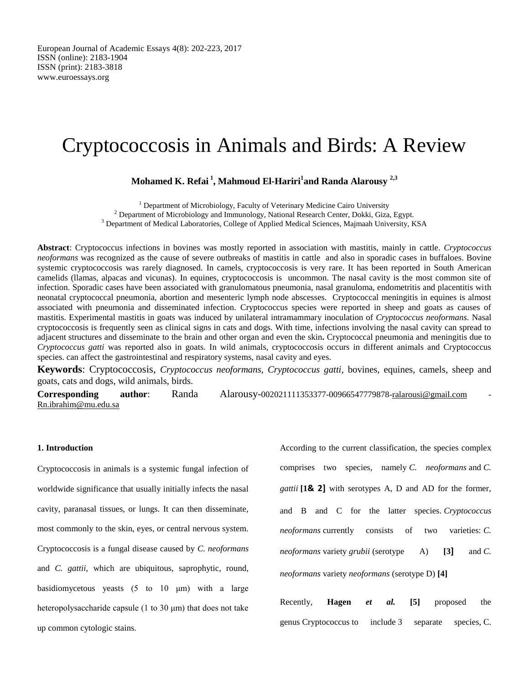# Cryptococcosis in Animals and Birds: A Review

# **Mohamed K. Refai <sup>1</sup> , Mahmoud El-Hariri<sup>1</sup> and Randa Alarousy 2,3**

<sup>1</sup> Department of Microbiology, Faculty of Veterinary Medicine Cairo University  $2$  Department of Microbiology and Immunology, National Research Center, Dokki, Giza, Egypt. <sup>3</sup> Department of Medical Laboratories, College of Applied Medical Sciences, Majmaah University, KSA

**Abstract**: Cryptococcus infections in bovines was mostly reported in association with mastitis, mainly in cattle. *Cryptococcus neoformans* was recognized as the cause of severe outbreaks of mastitis in cattle and also in sporadic cases in buffaloes. Bovine systemic cryptococcosis was rarely diagnosed. In camels, cryptococcosis is very rare. It has been reported in South American camelids (llamas, alpacas and vicunas). In equines, cryptococcosis is uncommon. The nasal cavity is the most common site of infection. Sporadic cases have been associated with granulomatous pneumonia, nasal granuloma, endometritis and placentitis with neonatal cryptococcal pneumonia, abortion and mesenteric lymph node abscesses. Cryptococcal meningitis in equines is almost associated with pneumonia and disseminated infection. Cryptococcus species were reported in sheep and goats as causes of mastitis. Experimental mastitis in goats was induced by unilateral intramammary inoculation of *Cryptococcus neoformans.* Nasal cryptococcosis is frequently seen as clinical signs in cats and dogs. With time, infections involving the nasal cavity can spread to adjacent structures and disseminate to the brain and other organ and even the skin**.** Cryptococcal pneumonia and meningitis due to *Cryptococcus gatti* was reported also in goats. In wild animals, cryptococcosis occurs in different animals and Cryptococcus species. can affect the gastrointestinal and respiratory systems, nasal cavity and eyes.

**Keywords**: Cryptococcosis, *Cryptococcus neoformans, Cryptococcus gatti,* bovines, equines, camels, sheep and goats, cats and dogs, wild animals, birds.

**Corresponding author**: Randa Alarousy-002021111353377-00966547779878[-ralarousi@gmail.com](mailto:ralarousi@gmail.com) - [Rn.ibrahim@mu.edu.sa](mailto:Rn.ibrahim@mu.edu.sa)

#### **1. Introduction**

Cryptococcosis in animals is a systemic fungal infection of worldwide significance that usually initially infects the nasal cavity, paranasal tissues, or lungs. It can then disseminate, most commonly to the skin, eyes, or central nervous system. Cryptococcosis is a fungal disease caused by *C. neoformans*  and *C. gattii*, which are ubiquitous, saprophytic, round, basidiomycetous yeasts  $(5 \text{ to } 10 \text{ }\mu\text{m})$  with a large heteropolysaccharide capsule (1 to 30 μm) that does not take up common cytologic stains.

According to the current classification, the species complex comprises two species, namely *C. neoformans* and *C. gattii* **[1& 2]** with serotypes A, D and AD for the former, and B and C for the latter species. *Cryptococcus neoformans* currently consists of two varieties: *C. neoformans* variety *grubii* (serotype A) **[3]** and *C. neoformans* variety *neoformans* (serotype D) **[4]**

| Recently, <b>Hagen</b> <i>et al.</i> [5] proposed the |  |  |  |  |
|-------------------------------------------------------|--|--|--|--|
| genus Cryptococcus to include 3 separate species, C.  |  |  |  |  |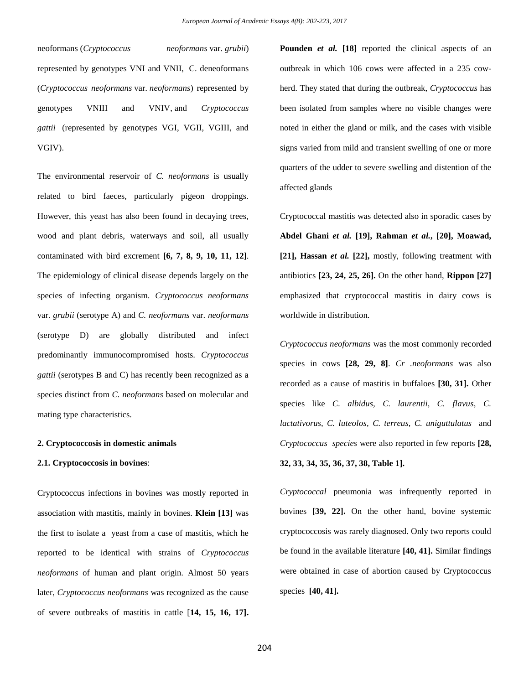neoformans (*Cryptococcus neoformans* var. *grubii*) represented by genotypes VNI and VNII, C. deneoformans (*Cryptococcus neoformans* var. *neoformans*) represented by genotypes VNIII and VNIV, and *Cryptococcus gattii* (represented by genotypes VGI, VGII, VGIII, and VGIV).

The environmental reservoir of *C. neoformans* is usually related to bird faeces, particularly pigeon droppings. However, this yeast has also been found in decaying trees, wood and plant debris, waterways and soil, all usually contaminated with bird excrement **[6, 7, 8, 9, 10, 11, 12]**. The epidemiology of clinical disease depends largely on the species of infecting organism. *Cryptococcus neoformans*  var. *grubii* (serotype A) and *C. neoformans* var. *neoformans*  (serotype D) are globally distributed and infect predominantly immunocompromised hosts. *Cryptococcus gattii* (serotypes B and C) has recently been recognized as a species distinct from *C. neoformans* based on molecular and mating type characteristics.

#### **2. Cryptococcosis in domestic animals**

#### **2.1. Cryptococcosis in bovines**:

Cryptococcus infections in bovines was mostly reported in association with mastitis, mainly in bovines. **Klein [13]** was the first to isolate a yeast from a case of mastitis, which he reported to be identical with strains of *Cryptococcus neoformans* of human and plant origin. Almost 50 years later, *Cryptococcus neoformans* was recognized as the cause of severe outbreaks of mastitis in cattle [**14, 15, 16, 17].** **Pounden** *et al.* **[18]** reported the clinical aspects of an outbreak in which 106 cows were affected in a 235 cowherd. They stated that during the outbreak, *Cryptococcus* has been isolated from samples where no visible changes were noted in either the gland or milk, and the cases with visible signs varied from mild and transient swelling of one or more quarters of the udder to severe swelling and distention of the affected glands

Cryptococcal mastitis was detected also in sporadic cases by **Abdel Ghani** *et al.* **[19], Rahman** *et al.***, [20], Moawad, [21], Hassan** *et al.* **[22],** mostly, following treatment with antibiotics **[23, 24, 25, 26].** On the other hand, **Rippon [27]**  emphasized that cryptococcal mastitis in dairy cows is worldwide in distribution.

*Cryptococcus neoformans* was the most commonly recorded species in cows **[28, 29, 8]**. *Cr .neoformans* was also recorded as a cause of mastitis in buffaloes **[30, 31].** Other species like *C. albidus, C. laurentii, C. flavus, C. lactativorus, C. luteolos, C. terreus, C. uniguttulatus* and *Cryptococcus species* were also reported in few reports **[28, 32, 33, 34, 35, 36, 37, 38, Table 1].**

*Cryptococcal* pneumonia was infrequently reported in bovines **[39, 22].** On the other hand, bovine systemic cryptococcosis was rarely diagnosed. Only two reports could be found in the available literature **[40, 41].** Similar findings were obtained in case of abortion caused by Cryptococcus species **[40, 41].**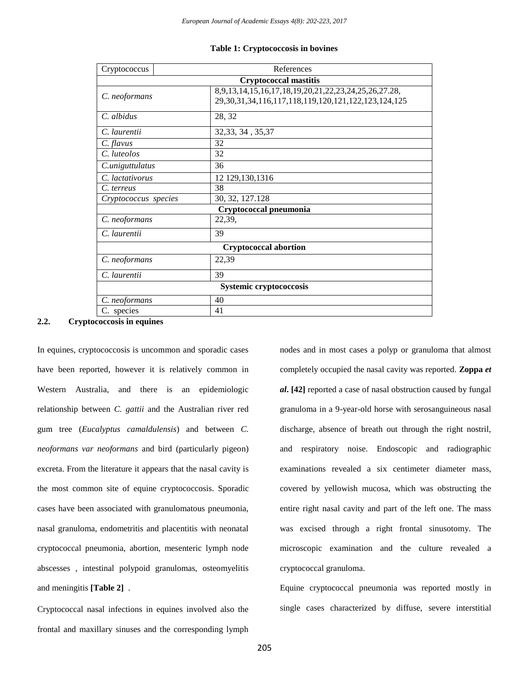| Cryptococcus                 | References                                                                                                               |  |  |  |  |
|------------------------------|--------------------------------------------------------------------------------------------------------------------------|--|--|--|--|
|                              | <b>Cryptococcal mastitis</b>                                                                                             |  |  |  |  |
| C. neoformans                | 8,9,13,14,15,16,17,18,19,20,21,22,23,24,25,26,27.28,<br>29, 30, 31, 34, 116, 117, 118, 119, 120, 121, 122, 123, 124, 125 |  |  |  |  |
| C. albidus                   | 28, 32                                                                                                                   |  |  |  |  |
| C. laurentii                 | 32, 33, 34, 35, 37                                                                                                       |  |  |  |  |
| $C.$ flavus                  | 32                                                                                                                       |  |  |  |  |
| C. luteolos                  | 32                                                                                                                       |  |  |  |  |
| C.uniguttulatus              | 36                                                                                                                       |  |  |  |  |
| C. lactativorus              | 12 129,130,1316                                                                                                          |  |  |  |  |
| C. terreus                   | 38                                                                                                                       |  |  |  |  |
| Cryptococcus species         | 30, 32, 127.128                                                                                                          |  |  |  |  |
|                              | Cryptococcal pneumonia                                                                                                   |  |  |  |  |
| C. neoformans                | 22,39,                                                                                                                   |  |  |  |  |
| C. laurentii                 | 39                                                                                                                       |  |  |  |  |
| <b>Cryptococcal abortion</b> |                                                                                                                          |  |  |  |  |
| C. neoformans                | 22,39                                                                                                                    |  |  |  |  |
| C. laurentii                 | 39                                                                                                                       |  |  |  |  |
| Systemic cryptococcosis      |                                                                                                                          |  |  |  |  |
| C. neoformans                | 40                                                                                                                       |  |  |  |  |
| C. species                   | 41                                                                                                                       |  |  |  |  |

## **Table 1: Cryptococcosis in bovines**

#### **2.2. Cryptococcosis in equines**

In equines, cryptococcosis is uncommon and sporadic cases have been reported, however it is relatively common in Western Australia, and there is an epidemiologic relationship between *C. gattii* and the Australian river red gum tree (*Eucalyptus camaldulensis*) and between *C. neoformans var neoformans* and bird (particularly pigeon) excreta. From the literature it appears that the nasal cavity is the most common site of equine cryptococcosis. Sporadic cases have been associated with granulomatous pneumonia, nasal granuloma, endometritis and placentitis with neonatal cryptococcal pneumonia, abortion, mesenteric lymph node abscesses , intestinal polypoid granulomas, osteomyelitis and meningitis **[Table 2]** .

Cryptococcal nasal infections in equines involved also the frontal and maxillary sinuses and the corresponding lymph

nodes and in most cases a polyp or granuloma that almost completely occupied the nasal cavity was reported. **Zoppa** *et al***. [42]** reported a case of nasal obstruction caused by fungal granuloma in a 9-year-old horse with serosanguineous nasal discharge, absence of breath out through the right nostril, and respiratory noise. Endoscopic and radiographic examinations revealed a six centimeter diameter mass, covered by yellowish mucosa, which was obstructing the entire right nasal cavity and part of the left one. The mass was excised through a right frontal sinusotomy. The microscopic examination and the culture revealed a cryptococcal granuloma.

Equine cryptococcal pneumonia was reported mostly in single cases characterized by diffuse, severe interstitial

205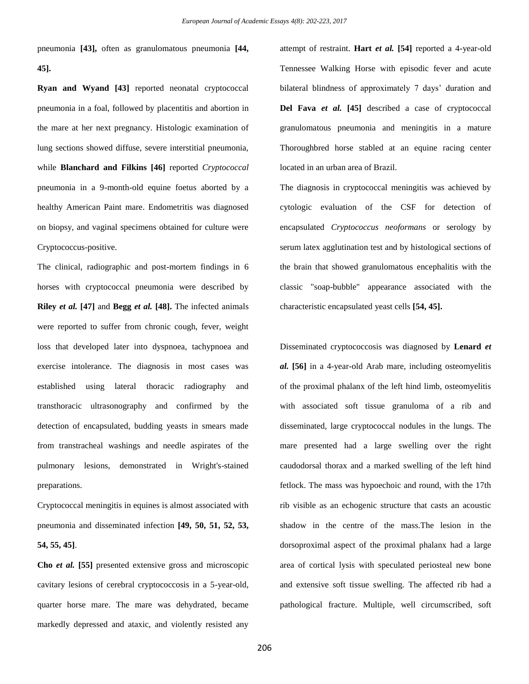pneumonia **[43],** often as granulomatous pneumonia **[44, 45].**

**Ryan and Wyand [43]** reported neonatal cryptococcal pneumonia in a foal, followed by placentitis and abortion in the mare at her next pregnancy. Histologic examination of lung sections showed diffuse, severe interstitial pneumonia, while **Blanchard and Filkins [46]** reported *Cryptococcal*  pneumonia in a 9-month-old equine foetus aborted by a healthy American Paint mare. Endometritis was diagnosed on biopsy, and vaginal specimens obtained for culture were Cryptococcus-positive.

The clinical, radiographic and post-mortem findings in 6 horses with cryptococcal pneumonia were described by **Riley** *et al.* **[47]** and **Begg** *et al.* **[48].** The infected animals were reported to suffer from chronic cough, fever, weight loss that developed later into dyspnoea, tachypnoea and exercise intolerance. The diagnosis in most cases was established using lateral thoracic radiography and transthoracic ultrasonography and confirmed by the detection of encapsulated, budding yeasts in smears made from transtracheal washings and needle aspirates of the pulmonary lesions, demonstrated in Wright's-stained preparations.

Cryptococcal meningitis in equines is almost associated with pneumonia and disseminated infection **[49, 50, 51, 52, 53, 54, 55, 45]**.

**Cho** *et al.* **[55]** presented extensive gross and microscopic cavitary lesions of cerebral cryptococcosis in a 5-year-old, quarter horse mare. The mare was dehydrated, became markedly depressed and ataxic, and violently resisted any

attempt of restraint. **Hart** *et al.* **[54]** reported a 4-year-old Tennessee Walking Horse with episodic fever and acute bilateral blindness of approximately 7 days' duration and **Del Fava** *et al.* **[45]** described a case of cryptococcal granulomatous pneumonia and meningitis in a mature Thoroughbred horse stabled at an equine racing center located in an urban area of Brazil.

The diagnosis in cryptococcal meningitis was achieved by cytologic evaluation of the CSF for detection of encapsulated *Cryptococcus neoformans* or serology by serum latex agglutination test and by histological sections of the brain that showed granulomatous encephalitis with the classic "soap-bubble" appearance associated with the characteristic encapsulated yeast cells **[54, 45].**

Disseminated cryptococcosis was diagnosed by **Lenard** *et al.* **[56]** in a 4-year-old Arab mare, including osteomyelitis of the proximal phalanx of the left hind limb, osteomyelitis with associated soft tissue granuloma of a rib and disseminated, large cryptococcal nodules in the lungs. The mare presented had a large swelling over the right caudodorsal thorax and a marked swelling of the left hind fetlock. The mass was hypoechoic and round, with the 17th rib visible as an echogenic structure that casts an acoustic shadow in the centre of the mass.The lesion in the dorsoproximal aspect of the proximal phalanx had a large area of cortical lysis with speculated periosteal new bone and extensive soft tissue swelling. The affected rib had a pathological fracture. Multiple, well circumscribed, soft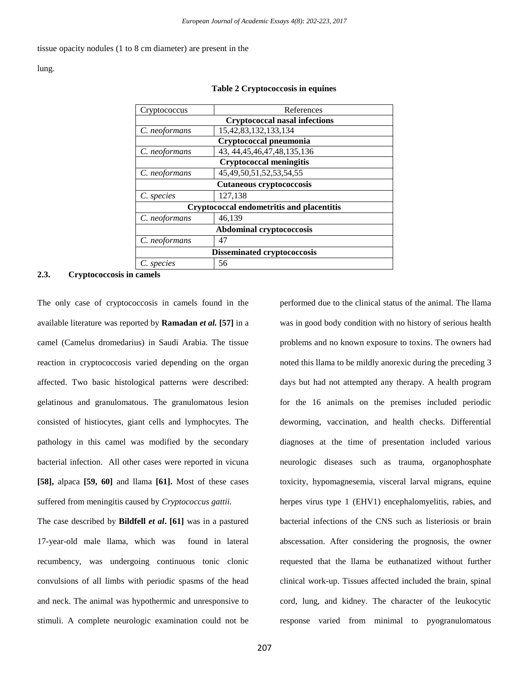tissue opacity nodules (1 to 8 cm diameter) are present in the

lung.

| Cryptococcus                              | References                       |  |  |  |
|-------------------------------------------|----------------------------------|--|--|--|
| <b>Cryptococcal nasal infections</b>      |                                  |  |  |  |
| C. neoformans                             | 15, 42, 83, 132, 133, 134        |  |  |  |
|                                           | Cryptococcal pneumonia           |  |  |  |
| C. neoformans                             | 43, 44, 45, 46, 47, 48, 135, 136 |  |  |  |
|                                           | <b>Cryptococcal meningitis</b>   |  |  |  |
| C. neoformans                             | 45, 49, 50, 51, 52, 53, 54, 55   |  |  |  |
| Cutaneous cryptococcosis                  |                                  |  |  |  |
| C. species                                | 127,138                          |  |  |  |
| Cryptococcal endometritis and placentitis |                                  |  |  |  |
| C. neoformans                             | 46,139                           |  |  |  |
| <b>Abdominal cryptococcosis</b>           |                                  |  |  |  |
| C. neoformans                             | 47                               |  |  |  |
| <b>Disseminated cryptococcosis</b>        |                                  |  |  |  |
| C. species                                | 56                               |  |  |  |

#### **Table 2 Cryptococcosis in equines**

#### **2.3. Cryptococcosis in camels**

The only case of cryptococcosis in camels found in the available literature was reported by **Ramadan** *et al.* **[57]** in a camel (Camelus dromedarius) in Saudi Arabia. The tissue reaction in cryptococcosis varied depending on the organ affected. Two basic histological patterns were described: gelatinous and granulomatous. The granulomatous lesion consisted of histiocytes, giant cells and lymphocytes. The pathology in this camel was modified by the secondary bacterial infection. All other cases were reported in vicuna **[58],** alpaca **[59, 60]** and llama **[61].** Most of these cases suffered from meningitis caused by *Cryptococcus gattii.* The case described by **Bildfell** *et al***. [61]** was in a pastured 17-year-old male llama, which was found in lateral recumbency, was undergoing continuous tonic clonic convulsions of all limbs with periodic spasms of the head and neck. The animal was hypothermic and unresponsive to stimuli. A complete neurologic examination could not be

performed due to the clinical status of the animal. The llama was in good body condition with no history of serious health problems and no known exposure to toxins. The owners had noted this llama to be mildly anorexic during the preceding 3 days but had not attempted any therapy. A health program for the 16 animals on the premises included periodic deworming, vaccination, and health checks. Differential diagnoses at the time of presentation included various neurologic diseases such as trauma, organophosphate toxicity, hypomagnesemia, visceral larval migrans, equine herpes virus type 1 (EHV1) encephalomyelitis, rabies, and bacterial infections of the CNS such as listeriosis or brain abscessation. After considering the prognosis, the owner requested that the llama be euthanatized without further clinical work-up. Tissues affected included the brain, spinal cord, lung, and kidney. The character of the leukocytic response varied from minimal to pyogranulomatous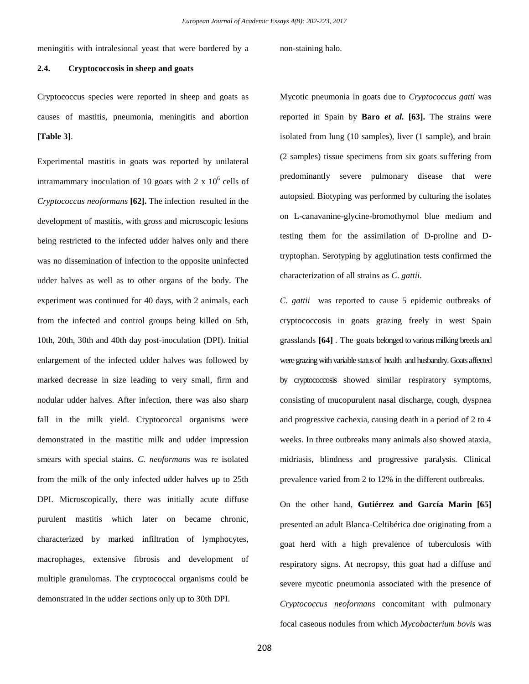meningitis with intralesional yeast that were bordered by a non-staining halo.

## **2.4. Cryptococcosis in sheep and goats**

Cryptococcus species were reported in sheep and goats as causes of mastitis, pneumonia, meningitis and abortion **[Table 3]**.

Experimental mastitis in goats was reported by unilateral intramammary inoculation of 10 goats with 2 x  $10<sup>6</sup>$  cells of *Cryptococcus neoformans* **[62].** The infection resulted in the development of mastitis, with gross and microscopic lesions being restricted to the infected udder halves only and there was no dissemination of infection to the opposite uninfected udder halves as well as to other organs of the body. The experiment was continued for 40 days, with 2 animals, each from the infected and control groups being killed on 5th, 10th, 20th, 30th and 40th day post-inoculation (DPI). Initial enlargement of the infected udder halves was followed by marked decrease in size leading to very small, firm and nodular udder halves. After infection, there was also sharp fall in the milk yield. Cryptococcal organisms were demonstrated in the mastitic milk and udder impression smears with special stains. *C. neoformans* was re isolated from the milk of the only infected udder halves up to 25th DPI. Microscopically, there was initially acute diffuse purulent mastitis which later on became chronic, characterized by marked infiltration of lymphocytes, macrophages, extensive fibrosis and development of multiple granulomas. The cryptococcal organisms could be demonstrated in the udder sections only up to 30th DPI.

Mycotic pneumonia in goats due to *Cryptococcus gatti* was reported in Spain by **Baro** *et al.* **[63].** The strains were isolated from lung (10 samples), liver (1 sample), and brain (2 samples) tissue specimens from six goats suffering from predominantly severe pulmonary disease that were autopsied. Biotyping was performed by culturing the isolates on L-canavanine-glycine-bromothymol blue medium and testing them for the assimilation of D-proline and Dtryptophan. Serotyping by agglutination tests confirmed the characterization of all strains as *C*. *gattii*.

*C*. *gattii* was reported to cause 5 epidemic outbreaks of cryptococcosis in goats grazing freely in west Spain grasslands **[64]** . The goats belonged to various milking breeds and were grazing with variable status of health and husbandry. Goats affected by cryptococcosis showed similar respiratory symptoms, consisting of mucopurulent nasal discharge, cough, dyspnea and progressive cachexia, causing death in a period of 2 to 4 weeks. In three outbreaks many animals also showed ataxia, midriasis, blindness and progressive paralysis. Clinical prevalence varied from 2 to 12% in the different outbreaks.

On the other hand, **Gutiérrez and García Marin [65]** presented an adult Blanca-Celtibérica doe originating from a goat herd with a high prevalence of tuberculosis with respiratory signs. At necropsy, this goat had a diffuse and severe mycotic pneumonia associated with the presence of *Cryptococcus neoformans* concomitant with pulmonary focal caseous nodules from which *Mycobacterium bovis* was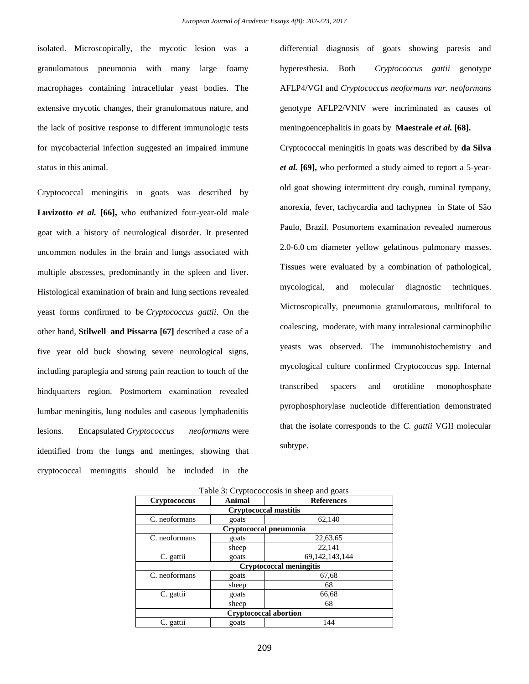isolated. Microscopically, the mycotic lesion was a granulomatous pneumonia with many large foamy macrophages containing intracellular yeast bodies. The extensive mycotic changes, their granulomatous nature, and the lack of positive response to different immunologic tests for mycobacterial infection suggested an impaired immune status in this animal.

Cryptococcal meningitis in goats was described by **Luvizotto** *et al.* **[66],** who euthanized four-year-old male goat with a history of neurological disorder. It presented uncommon nodules in the brain and lungs associated with multiple abscesses, predominantly in the spleen and liver. Histological examination of brain and lung sections revealed yeast forms confirmed to be *Cryptococcus gattii*. On the other hand, **Stilwell and Pissarra [67]** described a case of a five year old buck showing severe neurological signs, including paraplegia and strong pain reaction to touch of the hindquarters region. Postmortem examination revealed lumbar meningitis, lung nodules and caseous lymphadenitis lesions. Encapsulated *Cryptococcus neoformans* were identified from the lungs and meninges, showing that cryptococcal meningitis should be included in the differential diagnosis of goats showing paresis and hyperesthesia. Both *Cryptococcus gattii* genotype AFLP4/VGI and *Cryptococcus neoformans var. neoformans* genotype AFLP2/VNIV were incriminated as causes of meningoencephalitis in goats by **Maestrale** *et al.* **[68].**

Cryptococcal meningitis in goats was described by **da Silva**  *et al.* **[69],** who performed a study aimed to report a 5-yearold goat showing intermittent dry cough, ruminal tympany, anorexia, fever, tachycardia and tachypnea in State of São Paulo, Brazil. Postmortem examination revealed numerous 2.0-6.0 cm diameter yellow gelatinous pulmonary masses. Tissues were evaluated by a combination of pathological, mycological, and molecular diagnostic techniques. Microscopically, pneumonia granulomatous, multifocal to coalescing, moderate, with many intralesional carminophilic yeasts was observed. The immunohistochemistry and mycological culture confirmed Cryptococcus spp. Internal transcribed spacers and orotidine monophosphate pyrophosphorylase nucleotide differentiation demonstrated that the isolate corresponds to the *C. gattii* VGII molecular subtype.

|                     | Table 5. Cryptococcosis in succe and goals |                   |  |  |  |  |
|---------------------|--------------------------------------------|-------------------|--|--|--|--|
| <b>Cryptococcus</b> | Animal                                     | <b>References</b> |  |  |  |  |
|                     | <b>Cryptococcal mastitis</b>               |                   |  |  |  |  |
| C. neoformans       | goats                                      | 62,140            |  |  |  |  |
|                     | Cryptococcal pneumonia                     |                   |  |  |  |  |
| C. neoformans       | goats                                      | 22,63,65          |  |  |  |  |
|                     | sheep                                      | 22,141            |  |  |  |  |
| C. gattii           | goats                                      | 69, 142, 143, 144 |  |  |  |  |
|                     | <b>Cryptococcal meningitis</b>             |                   |  |  |  |  |
| C. neoformans       | goats                                      | 67,68             |  |  |  |  |
|                     | sheep                                      | 68                |  |  |  |  |
| C. gattii           | goats                                      | 66,68             |  |  |  |  |
|                     | sheep                                      | 68                |  |  |  |  |
|                     | <b>Cryptococcal abortion</b>               |                   |  |  |  |  |
| C. gattii           | goats                                      | 144               |  |  |  |  |

| Table 3: Cryptococcosis in sheep and goats |  |  |
|--------------------------------------------|--|--|
|                                            |  |  |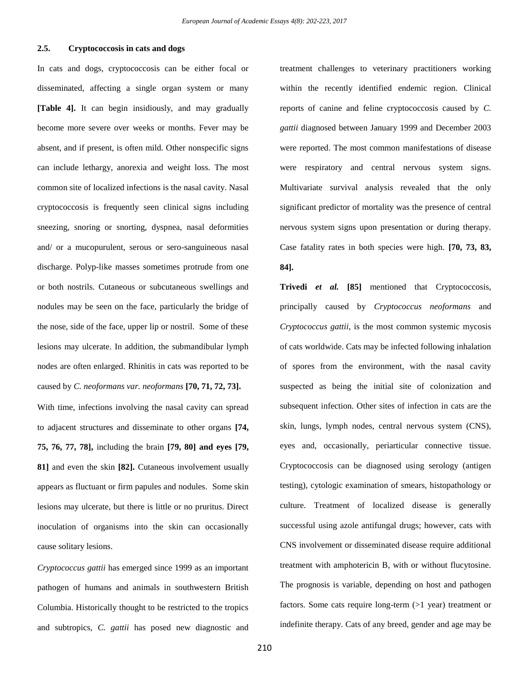## **2.5. Cryptococcosis in cats and dogs**

In cats and dogs, cryptococcosis can be either focal or disseminated, affecting a single organ system or many **[Table 4].** It can begin insidiously, and may gradually become more severe over weeks or months. Fever may be absent, and if present, is often mild. Other nonspecific signs can include lethargy, anorexia and weight loss. The most common site of localized infections is the nasal cavity. Nasal cryptococcosis is frequently seen clinical signs including sneezing, snoring or snorting, dyspnea, nasal deformities and/ or a mucopurulent, serous or sero-sanguineous nasal discharge. Polyp-like masses sometimes protrude from one or both nostrils. Cutaneous or subcutaneous swellings and nodules may be seen on the face, particularly the bridge of the nose, side of the face, upper lip or nostril. Some of these lesions may ulcerate. In addition, the submandibular lymph nodes are often enlarged. Rhinitis in cats was reported to be caused by *C. neoformans var. neoformans* **[70, 71, 72, 73].** With time, infections involving the nasal cavity can spread to adjacent structures and disseminate to other organs **[74, 75, 76, 77, 78],** including the brain **[79, 80] and eyes [79, 81]** and even the skin **[82].** Cutaneous involvement usually appears as fluctuant or firm papules and nodules. Some skin lesions may ulcerate, but there is little or no pruritus. Direct inoculation of organisms into the skin can occasionally cause solitary lesions.

*Cryptococcus gattii* has emerged since 1999 as an important pathogen of humans and animals in southwestern British Columbia. Historically thought to be restricted to the tropics and subtropics, *C. gattii* has posed new diagnostic and treatment challenges to veterinary practitioners working within the recently identified endemic region. Clinical reports of canine and feline cryptococcosis caused by *C. gattii* diagnosed between January 1999 and December 2003 were reported. The most common manifestations of disease were respiratory and central nervous system signs. Multivariate survival analysis revealed that the only significant predictor of mortality was the presence of central nervous system signs upon presentation or during therapy. Case fatality rates in both species were high. **[70, 73, 83, 84].**

**Trivedi** *et al.* **[85]** mentioned that Cryptococcosis, principally caused by *Cryptococcus neoformans* and *Cryptococcus gattii*, is the most common systemic mycosis of cats worldwide. Cats may be infected following inhalation of spores from the environment, with the nasal cavity suspected as being the initial site of colonization and subsequent infection. Other sites of infection in cats are the skin, lungs, lymph nodes, central nervous system (CNS), eyes and, occasionally, periarticular connective tissue. Cryptococcosis can be diagnosed using serology (antigen testing), cytologic examination of smears, histopathology or culture. Treatment of localized disease is generally successful using azole antifungal drugs; however, cats with CNS involvement or disseminated disease require additional treatment with amphotericin B, with or without flucytosine. The prognosis is variable, depending on host and pathogen factors. Some cats require long-term (>1 year) treatment or indefinite therapy. Cats of any breed, gender and age may be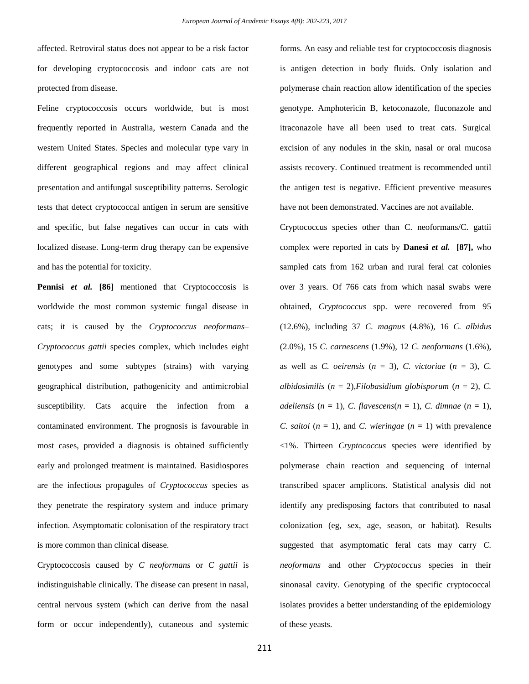affected. Retroviral status does not appear to be a risk factor for developing cryptococcosis and indoor cats are not protected from disease.

Feline cryptococcosis occurs worldwide, but is most frequently reported in Australia, western Canada and the western United States. Species and molecular type vary in different geographical regions and may affect clinical presentation and antifungal susceptibility patterns. Serologic tests that detect cryptococcal antigen in serum are sensitive and specific, but false negatives can occur in cats with localized disease. Long-term drug therapy can be expensive and has the potential for toxicity.

**Pennisi** *et al.* **[86]** mentioned that Cryptococcosis is worldwide the most common systemic fungal disease in cats; it is caused by the *Cryptococcus neoformans– Cryptococcus gattii* species complex, which includes eight genotypes and some subtypes (strains) with varying geographical distribution, pathogenicity and antimicrobial susceptibility. Cats acquire the infection from a contaminated environment. The prognosis is favourable in most cases, provided a diagnosis is obtained sufficiently early and prolonged treatment is maintained. Basidiospores are the infectious propagules of *Cryptococcus* species as they penetrate the respiratory system and induce primary infection. Asymptomatic colonisation of the respiratory tract is more common than clinical disease.

Cryptococcosis caused by *C neoformans* or *C gattii* is indistinguishable clinically. The disease can present in nasal, central nervous system (which can derive from the nasal form or occur independently), cutaneous and systemic forms. An easy and reliable test for cryptococcosis diagnosis is antigen detection in body fluids. Only isolation and polymerase chain reaction allow identification of the species genotype. Amphotericin B, ketoconazole, fluconazole and itraconazole have all been used to treat cats. Surgical excision of any nodules in the skin, nasal or oral mucosa assists recovery. Continued treatment is recommended until the antigen test is negative. Efficient preventive measures have not been demonstrated. Vaccines are not available.

Cryptococcus species other than C. neoformans/C. gattii complex were reported in cats by **Danesi** *et al.* **[87],** who sampled cats from 162 urban and rural feral cat colonies over 3 years. Of 766 cats from which nasal swabs were obtained, *Cryptococcus* spp. were recovered from 95 (12.6%), including 37 *C. magnus* (4.8%), 16 *C. albidus*  (2.0%), 15 *C. carnescens* (1.9%), 12 *C. neoformans* (1.6%), as well as *C. oeirensis*  $(n = 3)$ , *C. victoriae*  $(n = 3)$ , *C. albidosimilis*  $(n = 2)$ , *Filobasidium globisporum*  $(n = 2)$ , *C. adeliensis*  $(n = 1)$ , *C. flavescens* $(n = 1)$ , *C. dimnae*  $(n = 1)$ , *C. saitoi*  $(n = 1)$ , and *C. wieringae*  $(n = 1)$  with prevalence <1%. Thirteen *Cryptococcus* species were identified by polymerase chain reaction and sequencing of internal transcribed spacer amplicons. Statistical analysis did not identify any predisposing factors that contributed to nasal colonization (eg, sex, age, season, or habitat). Results suggested that asymptomatic feral cats may carry *C. neoformans* and other *Cryptococcus* species in their sinonasal cavity. Genotyping of the specific cryptococcal isolates provides a better understanding of the epidemiology of these yeasts.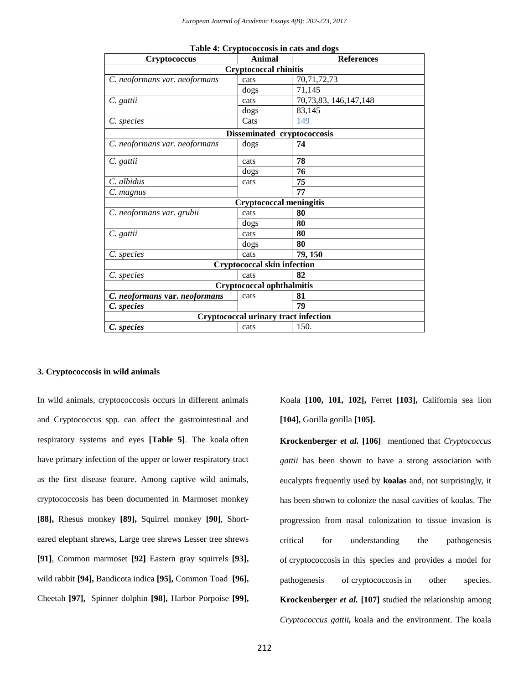| Cryptococcus                  | Animal                                      | <b>References</b>     |
|-------------------------------|---------------------------------------------|-----------------------|
|                               | <b>Cryptococcal rhinitis</b>                |                       |
| C. neoformans var. neoformans | cats                                        | 70,71,72,73           |
|                               | dogs                                        | 71,145                |
| C. gattii                     | cats                                        | 70,73,83, 146,147,148 |
|                               | dogs                                        | 83,145                |
| C. species                    | Cats                                        | 149                   |
|                               | Disseminated cryptococcosis                 |                       |
| C. neoformans var. neoformans | dogs                                        | 74                    |
| C. gattii                     | cats                                        | 78                    |
|                               | dogs                                        | 76                    |
| C. albidus                    | cats                                        | 75                    |
| C. magnus                     |                                             | 77                    |
|                               | <b>Cryptococcal meningitis</b>              |                       |
| C. neoformans var. grubii     | cats                                        | 80                    |
|                               | dogs                                        | 80                    |
| C. gattii                     | cats                                        | 80                    |
|                               | dogs                                        | 80                    |
| C. species                    | cats                                        | 79, 150               |
|                               | <b>Cryptococcal skin infection</b>          |                       |
| C. species                    | cats                                        | 82                    |
|                               | <b>Cryptococcal ophthalmitis</b>            |                       |
| C. neoformans var. neoformans | cats                                        | 81                    |
| C. species                    |                                             | 79                    |
|                               | <b>Cryptococcal urinary tract infection</b> |                       |
| C. species                    | cats                                        | 150.                  |

|  | Table 4: Cryptococcosis in cats and dogs |  |  |  |
|--|------------------------------------------|--|--|--|
|--|------------------------------------------|--|--|--|

#### **3. Cryptococcosis in wild animals**

In wild animals, cryptococcosis occurs in different animals and Cryptococcus spp. can affect the gastrointestinal and respiratory systems and eyes **[Table 5]**. The koala often have primary infection of the upper or lower respiratory tract as the first disease feature. Among captive wild animals, cryptococcosis has been documented in Marmoset monkey **[88],** Rhesus monkey **[89],** Squirrel monkey **[90]**, Shorteared elephant shrews, Large tree shrews Lesser tree shrews **[91]**, Common marmoset **[92]** Eastern gray squirrels **[93],**  wild rabbit **[94],** Bandicota indica **[95],** [Common](https://www.google.com.eg/url?sa=i&rct=j&q=&esrc=s&source=images&cd=&cad=rja&uact=8&ved=0ahUKEwj6vcbsodTSAhUDvxQKHQuSBMMQjhwIBQ&url=http%3A%2F%2Fwww.alamy.com%2Fstock-photo-common-toad-bufo-bufo-in-profile-a-common-british-and-european-toad-93057149.html&psig=AFQjCNEGwNSDvzq_FUqEtClC7Dt5p0YrXQ&ust=1489521412086132) Toad **[96],**  Cheetah **[97],** Spinner dolphin **[98],** Harbor Porpoise **[99],** Koala **[100, 101, 102],** Ferret **[103],** California sea lion **[104],** Gorilla gorilla **[105].**

**Krockenberger** *et al.* **[106]** mentioned that *Cryptococcus gattii* has been shown to have a strong association with eucalypts frequently used by **koalas** and, not surprisingly, it has been shown to colonize the nasal cavities of koalas. The progression from nasal colonization to tissue invasion is critical for understanding the pathogenesis of cryptococcosis in this species and provides a model for pathogenesis of cryptococcosis in other species. **Krockenberger** *et al.* **[107]** studied the relationship among *Cryptococcus gattii,* koala and the environment. The koala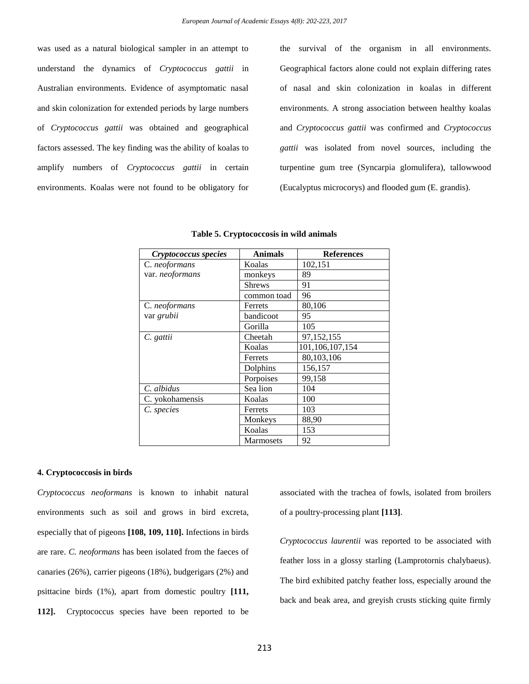was used as a natural biological sampler in an attempt to understand the dynamics of *Cryptococcus gattii* in Australian environments. Evidence of asymptomatic nasal and skin colonization for extended periods by large numbers of *Cryptococcus gattii* was obtained and geographical factors assessed. The key finding was the ability of koalas to amplify numbers of *Cryptococcus gattii* in certain environments. Koalas were not found to be obligatory for the survival of the organism in all environments. Geographical factors alone could not explain differing rates of nasal and skin colonization in koalas in different environments. A strong association between healthy koalas and *Cryptococcus gattii* was confirmed and *Cryptococcus gattii* was isolated from novel sources, including the turpentine gum tree (Syncarpia glomulifera), tallowwood (Eucalyptus microcorys) and flooded gum (E. grandis).

| Cryptococcus species | <b>Animals</b>   | <b>References</b> |
|----------------------|------------------|-------------------|
| C. neoformans        | Koalas           | 102,151           |
| var. neoformans      | monkeys          | 89                |
|                      | <b>Shrews</b>    | 91                |
|                      | common toad      | 96                |
| C. neoformans        | Ferrets          | 80,106            |
| var grubii           | bandicoot        | 95                |
|                      | Gorilla          | 105               |
| C. gattii            | Cheetah          | 97,152,155        |
|                      | Koalas           | 101,106,107,154   |
|                      | Ferrets          | 80,103,106        |
|                      | Dolphins         | 156,157           |
|                      | Porpoises        | 99,158            |
| C. albidus           | Sea lion         | 104               |
| C. yokohamensis      | Koalas           | 100               |
| C. species           | Ferrets          | 103               |
|                      | Monkeys          | 88,90             |
|                      | Koalas           | 153               |
|                      | <b>Marmosets</b> | 92                |

| Table 5. Cryptococcosis in wild animals |  |  |
|-----------------------------------------|--|--|
|                                         |  |  |

#### **4. Cryptococcosis in birds**

*Cryptococcus neoformans* is known to inhabit natural environments such as soil and grows in bird excreta, especially that of pigeons **[108, 109, 110].** Infections in birds are rare. *C. neoformans* has been isolated from the faeces of canaries (26%), carrier pigeons (18%), budgerigars (2%) and psittacine birds (1%), apart from domestic poultry **[111, 112].** Cryptococcus species have been reported to be

associated with the trachea of fowls, isolated from broilers of a poultry-processing plant **[113]**.

*Cryptococcus laurentii* was reported to be associated with feather loss in a glossy starling (Lamprotornis chalybaeus). The bird exhibited patchy feather loss, especially around the back and beak area, and greyish crusts sticking quite firmly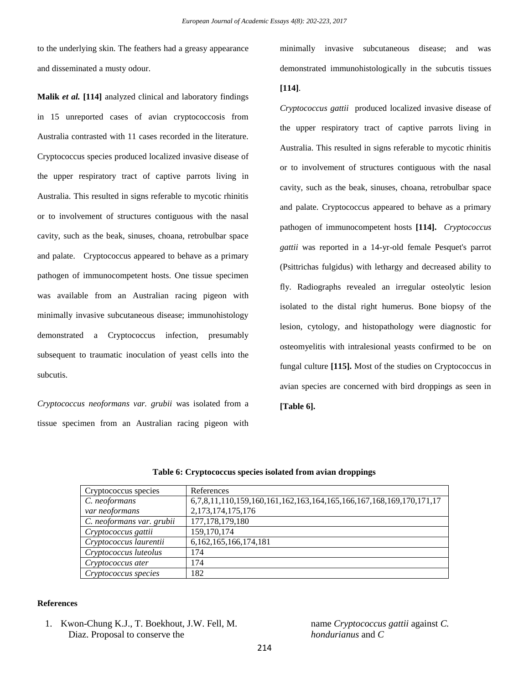to the underlying skin. The feathers had a greasy appearance and disseminated a musty odour.

**Malik** *et al.* **[114]** analyzed clinical and laboratory findings in 15 unreported cases of avian cryptococcosis from Australia contrasted with 11 cases recorded in the literature. Cryptococcus species produced localized invasive disease of the upper respiratory tract of captive parrots living in Australia. This resulted in signs referable to mycotic rhinitis or to involvement of structures contiguous with the nasal cavity, such as the beak, sinuses, choana, retrobulbar space and palate. Cryptococcus appeared to behave as a primary pathogen of immunocompetent hosts. One tissue specimen was available from an Australian racing pigeon with minimally invasive subcutaneous disease; immunohistology demonstrated a Cryptococcus infection, presumably subsequent to traumatic inoculation of yeast cells into the subcutis.

*Cryptococcus neoformans var. grubii* was isolated from a tissue specimen from an Australian racing pigeon with minimally invasive subcutaneous disease; and was demonstrated immunohistologically in the subcutis tissues

#### **[114]**.

*Cryptococcus gattii* produced localized invasive disease of the upper respiratory tract of captive parrots living in Australia. This resulted in signs referable to mycotic rhinitis or to involvement of structures contiguous with the nasal cavity, such as the beak, sinuses, choana, retrobulbar space and palate. Cryptococcus appeared to behave as a primary pathogen of immunocompetent hosts **[114].** *Cryptococcus gattii* was reported in a 14-yr-old female Pesquet's parrot (Psittrichas fulgidus) with lethargy and decreased ability to fly. Radiographs revealed an irregular osteolytic lesion isolated to the distal right humerus. Bone biopsy of the lesion, cytology, and histopathology were diagnostic for osteomyelitis with intralesional yeasts confirmed to be on fungal culture **[115].** Most of the studies on Cryptococcus in avian species are concerned with bird droppings as seen in **[Table 6].**

| Cryptococcus species      | References                                                          |
|---------------------------|---------------------------------------------------------------------|
| C. neoformans             | 6,7,8,11,110,159,160,161,162,163,164,165,166,167,168,169,170,171,17 |
| var neoformans            | 2, 173, 174, 175, 176                                               |
| C. neoformans var. grubii | 177, 178, 179, 180                                                  |
| Cryptococcus gattii       | 159, 170, 174                                                       |
| Cryptococcus laurentii    | 6, 162, 165, 166, 174, 181                                          |
| Cryptococcus luteolus     | 174                                                                 |
| Cryptococcus ater         | 174                                                                 |
| Cryptococcus species      | 182                                                                 |

**Table 6: Cryptococcus species isolated from avian droppings**

### **References**

1. Kwon-Chung K.J., T. Boekhout, J.W. Fell, M. Diaz. Proposal to conserve the

name *Cryptococcus gattii* against *C. hondurianus* and *C*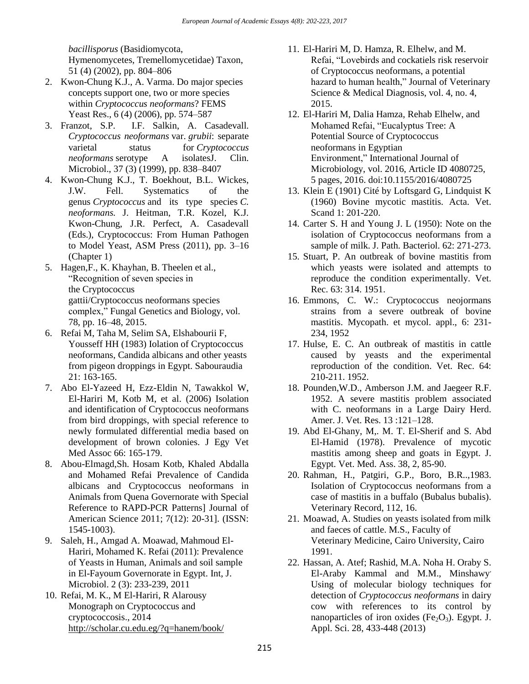*bacillisporus* (Basidiomycota, Hymenomycetes, Tremellomycetidae) Taxon, 51 (4) (2002), pp. 804–806

- 2. Kwon-Chung K.J., A. Varma. Do major species concepts support one, two or more species within *Cryptococcus neoformans*? FEMS Yeast Res., 6 (4) (2006), pp. 574–587
- 3. Franzot, S.P. I.F. Salkin, A. Casadevall. *Cryptococcus neoformans* var. *grubii*: separate varietal status for *Cryptococcus neoformans* serotype A isolatesJ. Clin. Microbiol., 37 (3) (1999), pp. 838–8407
- 4. Kwon-Chung K.J., T. Boekhout, B.L. Wickes, J.W. Fell. Systematics of the genus *Cryptococcus* and its type species *C. neoformans.* J. Heitman, T.R. Kozel, K.J. Kwon-Chung, J.R. Perfect, A. Casadevall (Eds.), Cryptococcus: From Human Pathogen to Model Yeast, ASM Press (2011), pp. 3–16 (Chapter 1)
- 5. Hagen,F., K. Khayhan, B. Theelen et al., "Recognition of seven species in the Cryptococcus gattii/Cryptococcus neoformans species complex," Fungal Genetics and Biology, vol. 78, pp. 16–48, 2015.
- 6. Refai M, Taha M, Selim SA, Elshabourii F, Yousseff HH (1983) Iolation of Cryptococcus neoformans, Candida albicans and other yeasts from pigeon droppings in Egypt. Sabouraudia 21: 163-165.
- 7. Abo El-Yazeed H, Ezz-Eldin N, Tawakkol W, El-Hariri M, Kotb M, et al. (2006) Isolation and identification of Cryptococcus neoformans from bird droppings, with special reference to newly formulated differential media based on development of brown colonies. J Egy Vet Med Assoc 66: 165-179.
- 8. Abou-Elmagd,Sh. Hosam Kotb, Khaled Abdalla and Mohamed Refai Prevalence of Candida albicans and Cryptococcus neoformans in Animals from Quena Governorate with Special Reference to RAPD-PCR Patterns] Journal of American Science 2011; 7(12): 20-31]. (ISSN: 1545-1003).
- 9. Saleh, H., Amgad A. Moawad, Mahmoud El-Hariri, Mohamed K. Refai (2011): Prevalence of Yeasts in Human, Animals and soil sample in El-Fayoum Governorate in Egypt. Int, J. Microbiol. 2 (3): 233-239, 2011
- 10. Refai, M. K., M El-Hariri, [R Alarousy](https://scholar.google.com.eg/citations?user=Pi5p9nwAAAAJ&hl=en&oi=sra) Monograph on Cryptococcus and cryptococcosis., 2014 <http://scholar.cu.edu.eg/?q=hanem/book/>
- 11. El-Hariri M, D. Hamza, R. Elhelw, and M. Refai, "Lovebirds and cockatiels risk reservoir of Cryptococcus neoformans, a potential hazard to human health," Journal of Veterinary Science & Medical Diagnosis, vol. 4, no. 4, 2015.
- 12. El-Hariri M, Dalia Hamza, Rehab Elhelw, and Mohamed Refai, "Eucalyptus Tree: A Potential Source of Cryptococcus neoformans in Egyptian Environment," International Journal of Microbiology, vol. 2016, Article ID 4080725, 5 pages, 2016. doi:10.1155/2016/4080725
- 13. Klein E (1901) Cité by Loftsgard G, Lindquist K (1960) Bovine mycotic mastitis. Acta. Vet. Scand 1: 201-220.
- 14. Carter S. H and Young J. L (1950): Note on the isolation of Cryptococcus neoformans from a sample of milk. J. Path. Bacteriol. 62: 271-273.
- 15. Stuart, P. An outbreak of bovine mastitis from which yeasts were isolated and attempts to reproduce the condition experimentally. Vet. Rec. 63: 314. 1951.
- 16. Emmons, C. W.: Cryptococcus neojormans strains from a severe outbreak of bovine mastitis. Mycopath. et mycol. appl., 6: 231- 234, 1952
- 17. Hulse, E. C. An outbreak of mastitis in cattle caused by yeasts and the experimental reproduction of the condition. Vet. Rec. 64: 210-211. 1952.
- 18. Pounden,W.D., Amberson J.M. and Jaegeer R.F. 1952. A severe mastitis problem associated with C. neoformans in a Large Dairy Herd. Amer. J. Vet. Res. 13 :121–128.
- 19. Abd El-Ghany, M,. M. T. El-Sherif and S. Abd El-Hamid (1978). Prevalence of mycotic mastitis among sheep and goats in Egypt. J. Egypt. Vet. Med. Ass. 38, 2, 85-90.
- 20. Rahman, H., Patgiri, G.P., Boro, B.R..,1983. Isolation of Cryptococcus neoformans from a case of mastitis in a buffalo (Bubalus bubalis). Veterinary Record, 112, 16.
- 21. Moawad, A. Studies on yeasts isolated from milk and faeces of cattle. M.S., Faculty of Veterinary Medicine, Cairo University, Cairo 1991.
- 22. Hassan, A. Atef; Rashid, M.A. Noha H. Oraby S. El-Araby Kammal and M.M., Minshawy Using of molecular biology techniques for detection of *Cryptococcus neoformans* in dairy cow with references to its control by nanoparticles of iron oxides (Fe<sub>2</sub>O<sub>3</sub>). Egypt. J. Appl. Sci. 28, 433-448 (2013)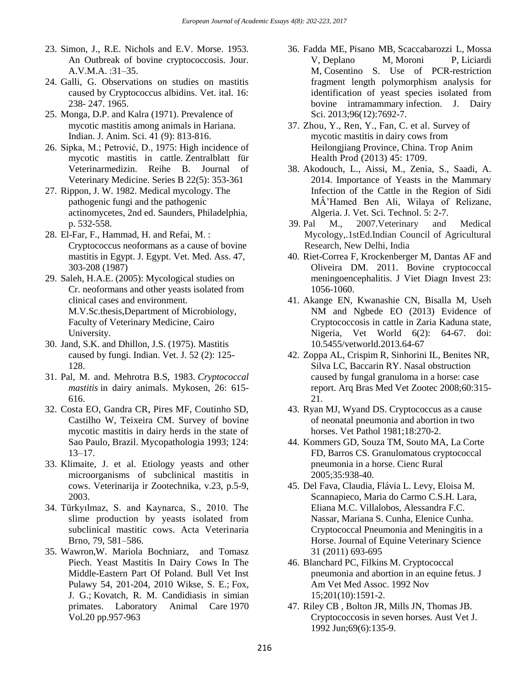- 23. Simon, J., R.E. Nichols and E.V. Morse. 1953. An Outbreak of bovine cryptococcosis. Jour. A.V.M.A. :31–35.
- 24. Galli, G. Observations on studies on mastitis caused by Cryptococcus albidins. Vet. ital. 16: 238- 247. 1965.
- 25. Monga, D.P. and Kalra (1971). Prevalence of mycotic mastitis among animals in Hariana. Indian. J. Anim. Sci. 41 (9): 813-816.
- 26. Sipka, M.; Petrović, D., 1975: High incidence of mycotic mastitis in cattle. Zentralblatt für Veterinarmedizin. Reihe B. Journal of Veterinary Medicine. Series B 22(5): 353-361
- 27. Rippon, J. W. 1982. Medical mycology. The pathogenic fungi and the pathogenic actinomycetes, 2nd ed. Saunders, Philadelphia, p. 532-558.
- 28. El-Far, F., Hammad, H. and Refai, M. : Cryptococcus neoformans as a cause of bovine mastitis in Egypt. J. Egypt. Vet. Med. Ass. 47, 303-208 (1987)
- 29. Saleh, H.A.E. (2005): Mycological studies on Cr. neoformans and other yeasts isolated from clinical cases and environment. M.V.Sc.thesis,Department of Microbiology, Faculty of Veterinary Medicine, Cairo University.
- 30. Jand, S.K. and Dhillon, J.S. (1975). Mastitis caused by fungi. Indian. Vet. J. 52 (2): 125- 128.
- 31. Pal, M. and. Mehrotra B.S, 1983. *Cryptococcal mastitis* in dairy animals. Mykosen, 26: 615- 616.
- 32. Costa EO, Gandra CR, Pires MF, Coutinho SD, Castilho W, Teixeira CM. Survey of bovine mycotic mastitis in dairy herds in the state of Sao Paulo, Brazil. Mycopathologia 1993; 124: 13–17.
- 33. Klimaite, J. et al. Etiology yeasts and other microorganisms of subclinical mastitis in cows. Veterinarija ir Zootechnika, v.23, p.5-9, 2003.
- 34. Türkyılmaz, S. and Kaynarca, S., 2010. The slime production by yeasts isolated from subclinical mastitic cows. Acta Veterinaria Brno, 79, 581–586.
- 35. Wawron,W. Mariola Bochniarz, and Tomasz Piech. Yeast Mastitis In Dairy Cows In The Middle-Eastern Part Of Poland. Bull Vet Inst Pulawy 54, 201-204, 2010 [Wikse, S. E.;](https://www.cabdirect.org/cabdirect/search/?q=au%3a%22Wikse%2c+S.+E.%22) [Fox,](https://www.cabdirect.org/cabdirect/search/?q=au%3a%22Fox%2c+J.+G.%22)  [J. G.;](https://www.cabdirect.org/cabdirect/search/?q=au%3a%22Fox%2c+J.+G.%22) [Kovatch, R. M.](https://www.cabdirect.org/cabdirect/search/?q=au%3a%22Kovatch%2c+R.+M.%22) Candidiasis in simian primates. [Laboratory Animal Care](https://www.cabdirect.org/cabdirect/search/?q=do%3a%22Laboratory+Animal+Care%22) 1970 Vol.20 pp.957-963
- 36. [Fadda ME,](https://www.ncbi.nlm.nih.gov/pubmed/?term=Fadda%20ME%5BAuthor%5D&cauthor=true&cauthor_uid=24119798) [Pisano MB,](https://www.ncbi.nlm.nih.gov/pubmed/?term=Pisano%20MB%5BAuthor%5D&cauthor=true&cauthor_uid=24119798) [Scaccabarozzi L,](https://www.ncbi.nlm.nih.gov/pubmed/?term=Scaccabarozzi%20L%5BAuthor%5D&cauthor=true&cauthor_uid=24119798) [Mossa](https://www.ncbi.nlm.nih.gov/pubmed/?term=Mossa%20V%5BAuthor%5D&cauthor=true&cauthor_uid=24119798)  [V,](https://www.ncbi.nlm.nih.gov/pubmed/?term=Mossa%20V%5BAuthor%5D&cauthor=true&cauthor_uid=24119798) [Deplano M,](https://www.ncbi.nlm.nih.gov/pubmed/?term=Deplano%20M%5BAuthor%5D&cauthor=true&cauthor_uid=24119798) [Moroni P,](https://www.ncbi.nlm.nih.gov/pubmed/?term=Moroni%20P%5BAuthor%5D&cauthor=true&cauthor_uid=24119798) [Liciardi](https://www.ncbi.nlm.nih.gov/pubmed/?term=Liciardi%20M%5BAuthor%5D&cauthor=true&cauthor_uid=24119798)  [M,](https://www.ncbi.nlm.nih.gov/pubmed/?term=Liciardi%20M%5BAuthor%5D&cauthor=true&cauthor_uid=24119798) [Cosentino S.](https://www.ncbi.nlm.nih.gov/pubmed/?term=Cosentino%20S%5BAuthor%5D&cauthor=true&cauthor_uid=24119798) Use of PCR-restriction fragment length polymorphism analysis for identification of yeast species isolated from bovine intramammary infection. [J. Dairy](https://www.ncbi.nlm.nih.gov/pubmed/24119798)  [Sci.](https://www.ncbi.nlm.nih.gov/pubmed/24119798) 2013;96(12):7692-7.
- 37. Zhou, Y., Ren, Y., Fan, C. et al. Survey of mycotic mastitis in dairy cows from Heilongjiang Province, China. Trop Anim Health Prod (2013) 45: 1709.
- 38. Akodouch, L., Aissi, M., Zenia, S., Saadi, A. 2014. Importance of Yeasts in the Mammary Infection of the Cattle in the Region of Sidi MÂ'Hamed Ben Ali, Wilaya of Relizane, Algeria. J. Vet. Sci. Technol. 5: 2-7.
- 39. Pal M., 2007.Veterinary and Medical Mycology,.1stEd.Indian Council of Agricultural Research, New Delhi, India
- 40. Riet-Correa F, Krockenberger M, Dantas AF and Oliveira DM. 2011. Bovine cryptococcal meningoencephalitis. J Viet Diagn Invest 23: 1056-1060.
- 41. Akange EN, Kwanashie CN, Bisalla M, Useh NM and Ngbede EO (2013) Evidence of Cryptococcosis in cattle in Zaria Kaduna state, Nigeria, Vet World 6(2): 64-67. doi: 10.5455/vetworld.2013.64-67
- 42. Zoppa AL, Crispim R, Sinhorini IL, Benites NR, Silva LC, Baccarin RY. Nasal obstruction caused by fungal granuloma in a horse: case report. Arq Bras Med Vet Zootec 2008;60:315- 21.
- 43. Ryan MJ, Wyand DS. Cryptococcus as a cause of neonatal pneumonia and abortion in two horses. Vet Pathol 1981;18:270-2.
- 44. Kommers GD, Souza TM, Souto MA, La Corte FD, Barros CS. Granulomatous cryptococcal pneumonia in a horse. Cienc Rural 2005;35:938-40.
- 45. Del Fava, Claudia, Flávia L. Levy, Eloisa M. Scannapieco, Maria do Carmo C.S.H. Lara, Eliana M.C. Villalobos, Alessandra F.C. Nassar, Mariana S. Cunha, Elenice Cunha. Cryptococcal Pneumonia and Meningitis in a Horse. Journal of Equine Veterinary Science 31 (2011) 693-695
- 46. Blanchard PC, Filkins M. Cryptococcal pneumonia and abortion in an equine fetus. J Am Vet Med Assoc. 1992 Nov 15;201(10):1591-2.
- 47. Riley CB , Bolton JR, Mills JN, Thomas JB. Cryptococcosis in seven horses. Aust Vet J. 1992 Jun;69(6):135-9.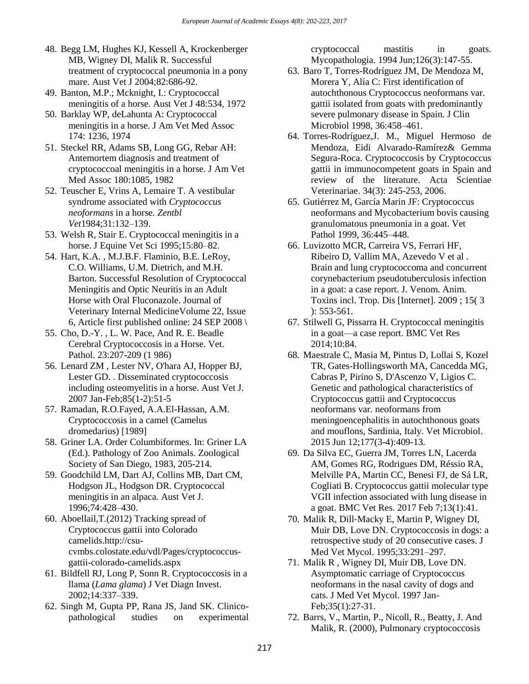- 48. Begg LM, Hughes KJ, Kessell A, Krockenberger MB, Wigney DI, Malik R. Successful treatment of cryptococcal pneumonia in a pony mare. Aust Vet J 2004;82:686-92.
- 49. Banton, M.P.; Mcknight, I.: Cryptococcal meningitis of a horse. Aust Vet J 48:534, 1972
- 50. Barklay WP, deLahunta A: Cryptococcal meningitis in a horse. J Am Vet Med Assoc 174: 1236, 1974
- 51. Steckel RR, Adams SB, Long GG, Rebar AH: Antemortem diagnosis and treatment of cryptococcoal meningitis in a horse. J Am Vet Med Assoc 180:1085, 1982
- 52. Teuscher E, Vrins A, Lemaire T. A vestibular syndrome associated with *Cryptococcus neoformans* in a horse. *Zentbl Vet*1984;31:132–139.
- 53. Welsh R, Stair E. Cryptococcal meningitis in a horse. J Equine Vet Sci 1995;15:80–82.
- 54. Hart, K.A. , M.J.B.F. Flaminio, B.E. LeRoy, C.O. Williams, U.M. Dietrich, and M.H. Barton. Successful Resolution of Cryptococcal Meningitis and Optic Neuritis in an Adult Horse with Oral Fluconazole. Journal of Veterinary Internal MedicineVolume 22, Issue 6, Article first published online: 24 SEP 2008  $\setminus$
- 55. Cho, D.-Y. , L. W. Pace, And R. E. Beadle Cerebral Cryptococcosis in a Horse. Vet. Pathol. 23:207-209 (1 986)
- 56. Lenard ZM , Lester NV, O'hara AJ, Hopper BJ, Lester GD. . Disseminated cryptococcosis including osteomyelitis in a horse. Aust Vet J. 2007 Jan-Feb;85(1-2):51-5
- 57. Ramadan, R.O.Fayed, A.A.El-Hassan, A.M. Cryptococcosis in a camel (Camelus dromedarius) [1989]
- 58. Griner LA. Order Columbiformes. In: Griner LA (Ed.). Pathology of Zoo Animals. Zoological Society of San Diego, 1983, 205-214.
- 59. Goodchild LM, Dart AJ, Collins MB, Dart CM, Hodgson JL, Hodgson DR. Cryptococcal meningitis in an alpaca. Aust Vet J. 1996;74:428–430.
- 60. Aboellail*,*T*.*(2012) Tracking spread of Cryptococcus gattii into Colorado camelids.http://csucvmbs.colostate.edu/vdl/Pages/cryptococcusgattii-colorado-camelids.aspx
- 61. Bildfell RJ, Long P, Sonn R. Cryptococcosis in a llama (*Lama glama*) J Vet Diagn Invest. 2002;14:337–339.
- 62. Singh M, Gupta PP, Rana JS, Jand SK. Clinicopathological studies on experimental

cryptococcal mastitis in goats. Mycopathologia. 1994 Jun;126(3):147-55.

- 63. Baro T, Torres-Rodríguez JM, De Mendoza M, Morera Y, Alía C: First identification of autochthonous Cryptococcus neoformans var. gattii isolated from goats with predominantly severe pulmonary disease in Spain. J Clin Microbiol 1998, 36:458–461.
- 64. Torres-Rodríguez,J. M., Miguel Hermoso de Mendoza, Eidi Alvarado-Ramírez& Gemma Segura-Roca. Cryptococcosis by Cryptococcus gattii in immunocompetent goats in Spain and review of the literature. Acta Scientiae Veterinariae. 34(3): 245-253, 2006.
- 65. Gutiérrez M, García Marin JF: Cryptococcus neoformans and Mycobacterium bovis causing granulomatous pneumonia in a goat. Vet Pathol 1999, 36:445–448.
- 66. Luvizotto MCR, Carreira VS, Ferrari HF, Ribeiro D, Vallim MA, Azevedo V et al . Brain and lung cryptococcoma and concurrent corynebacterium pseudotuberculosis infection in a goat: a case report. J. Venom. Anim. Toxins incl. Trop. Dis [Internet]. 2009 ; 15( 3 ): 553-561.
- 67. Stilwell G, Pissarra H. Cryptococcal meningitis in a goat—a case report. BMC Vet Res 2014;10:84.
- 68. Maestrale C, Masia M, Pintus D, Lollai S, Kozel TR, Gates-Hollingsworth MA, Cancedda MG, Cabras P, Pirino S, D'Ascenzo V, Ligios C. Genetic and pathological characteristics of Cryptococcus gattii and Cryptococcus neoformans var. neoformans from meningoencephalitis in autochthonous goats and mouflons, Sardinia, Italy. Vet Microbiol. 2015 Jun 12;177(3-4):409-13.
- 69. Da Silva EC, Guerra JM, Torres LN, Lacerda AM, Gomes RG, Rodrigues DM, Réssio RA, Melville PA, Martin CC, Benesi FJ, de Sá LR, Cogliati B. Cryptococcus gattii molecular type VGII infection associated with lung disease in a goat. BMC Vet Res. 2017 Feb 7;13(1):41.
- 70. Malik R, Dill‐Macky E, Martin P, Wigney DI, Muir DB, Love DN. Cryptococcosis in dogs: a retrospective study of 20 consecutive cases. J Med Vet Mycol. 1995;33:291–297.
- 71. Malik R , Wigney DI, Muir DB, Love DN. Asymptomatic carriage of Cryptococcus neoformans in the nasal cavity of dogs and cats. J Med Vet Mycol. 1997 Jan-Feb;35(1):27-31.
- 72. Barrs, V., Martin, P., Nicoll, R., Beatty, J. And Malik, R. (2000), Pulmonary cryptococcosis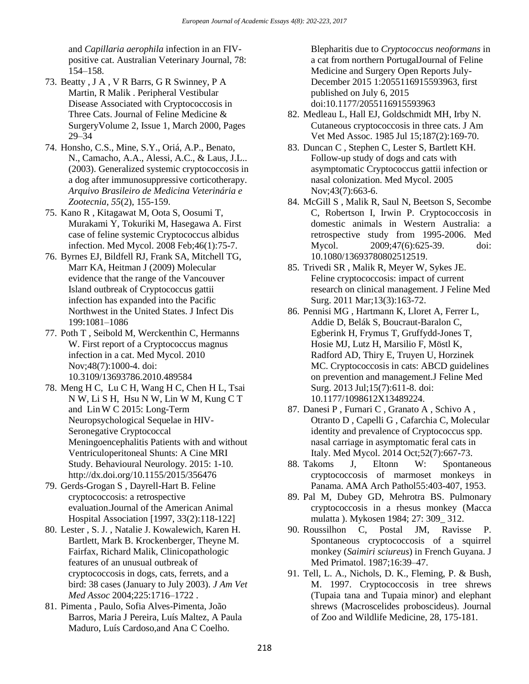and *Capillaria aerophila* infection in an FIVpositive cat. Australian Veterinary Journal, 78: 154–158.

- 73. Beatty , J A , V R Barrs, G R Swinney, P A Martin, R Malik . Peripheral Vestibular Disease Associated with Cryptococcosis in Three Cats. Journal of Feline Medicine & SurgeryVolume 2, Issue 1, March 2000, Pages 29–34
- 74. Honsho, C.S., Mine, S.Y., Oriá, A.P., Benato, N., Camacho, A.A., Alessi, A.C., & Laus, J.L.. (2003). Generalized systemic cryptococcosis in a dog after immunosuppressive corticotherapy. *Arquivo Brasileiro de Medicina Veterinária e Zootecnia*, *55*(2), 155-159.
- 75. Kano R , Kitagawat M, Oota S, Oosumi T, Murakami Y, Tokuriki M, Hasegawa A. First case of feline systemic Cryptococcus albidus infection. Med Mycol. 2008 Feb;46(1):75-7.
- 76. Byrnes EJ, Bildfell RJ, Frank SA, Mitchell TG, Marr KA, Heitman J (2009) Molecular evidence that the range of the Vancouver Island outbreak of Cryptococcus gattii infection has expanded into the Pacific Northwest in the United States. J Infect Dis 199:1081–1086
- 77. Poth T , Seibold M, Werckenthin C, Hermanns W. First report of a Cryptococcus magnus infection in a cat. Med Mycol. 2010 Nov;48(7):1000-4. doi: 10.3109/13693786.2010.489584
- 78. [Meng](https://www.hindawi.com/85439316/) H C, [Lu](https://www.hindawi.com/98173456/) C H, [Wang](https://www.hindawi.com/68157298/) H C, [Chen](https://www.hindawi.com/92937145/) H L, [Tsai](https://www.hindawi.com/95712039/) N W, [Li](https://www.hindawi.com/90269086/) S H, [Hsu](https://www.hindawi.com/89013414/) N W, [Lin](https://www.hindawi.com/78202194/) W M, [Kung](https://www.hindawi.com/73494316/) C T and [LinW](https://www.hindawi.com/68023932/) C 2015: Long-Term Neuropsychological Sequelae in HIV-Seronegative Cryptococcal Meningoencephalitis Patients with and without Ventriculoperitoneal Shunts: A Cine MRI Study. Behavioural Neurology. 2015: 1-10. <http://dx.doi.org/10.1155/2015/356476>
- 79. Gerds-Grogan S , Dayrell-Hart B. Feline cryptococcosis: a retrospective evaluation.Journal of the American Animal Hospital Association [1997, 33(2):118-122]
- 80. Lester , S. J. , Natalie J. Kowalewich, Karen H. Bartlett, Mark B. Krockenberger, Theyne M. Fairfax, Richard Malik, Clinicopathologic features of an unusual outbreak of cryptococcosis in dogs, cats, ferrets, and a bird: 38 cases (January to July 2003). *J Am Vet Med Assoc* 2004;225:1716–1722 .
- 81. Pimenta , Paulo, Sofia Alves-Pimenta, João Barros, Maria J Pereira, Luís Maltez, A Paula Maduro, Luís Cardoso,and Ana C Coelho.

Blepharitis due to *Cryptococcus neoformans* in a cat from northern PortugalJournal of Feline Medicine and Surgery Open Reports July-December 2015 1:2055116915593963, first published on July 6, 2015 doi:10.1177/2055116915593963

- 82. Medleau L, Hall EJ, Goldschmidt MH, Irby N. Cutaneous cryptococcosis in three cats. J Am Vet Med Assoc. 1985 Jul 15;187(2):169-70.
- 83. Duncan C , Stephen C, Lester S, Bartlett KH. Follow-up study of dogs and cats with asymptomatic Cryptococcus gattii infection or nasal colonization. Med Mycol. 2005 Nov;43(7):663-6.
- 84. McGill S , Malik R, Saul N, Beetson S, Secombe C, Robertson I, Irwin P. Cryptococcosis in domestic animals in Western Australia: a retrospective study from 1995-2006. Med Mycol. 2009;47(6):625-39. doi: 10.1080/13693780802512519.
- 85. Trivedi SR , Malik R, Meyer W, Sykes JE. Feline cryptococcosis: impact of current research on clinical management. J Feline Med Surg. 2011 Mar;13(3):163-72.
- 86. Pennisi MG , Hartmann K, Lloret A, Ferrer L, Addie D, Belák S, Boucraut-Baralon C, Egberink H, Frymus T, Gruffydd-Jones T, Hosie MJ, Lutz H, Marsilio F, Möstl K, Radford AD, Thiry E, Truyen U, Horzinek MC. Cryptococcosis in cats: ABCD guidelines on prevention and management.J Feline Med Surg. 2013 Jul;15(7):611-8. doi: 10.1177/1098612X13489224.
- 87. Danesi P , Furnari C , Granato A , Schivo A , Otranto D , Capelli G , Cafarchia C, Molecular identity and prevalence of Cryptococcus spp. nasal carriage in asymptomatic feral cats in Italy. Med Mycol. 2014 Oct;52(7):667-73.
- 88. Takoms J, Eltonn W: Spontaneous cryptococcosis of marmoset monkeys in Panama. AMA Arch Pathol55:403-407, 1953.
- 89. Pal M, Dubey GD, Mehrotra BS. Pulmonary cryptococcosis in a rhesus monkey (Macca mulatta ). Mykosen 1984; 27: 309\_ 312.
- 90. Roussilhon C, Postal JM, Ravisse P. Spontaneous cryptococcosis of a squirrel monkey (*Saimiri sciureus*) in French Guyana. J Med Primatol. 1987;16:39–47.
- 91. Tell, L. A., Nichols, D. K., Fleming, P. & Bush, M. 1997. Cryptococcosis in tree shrews (Tupaia tana and Tupaia minor) and elephant shrews (Macroscelides proboscideus). Journal of Zoo and Wildlife Medicine, 28, 175-181.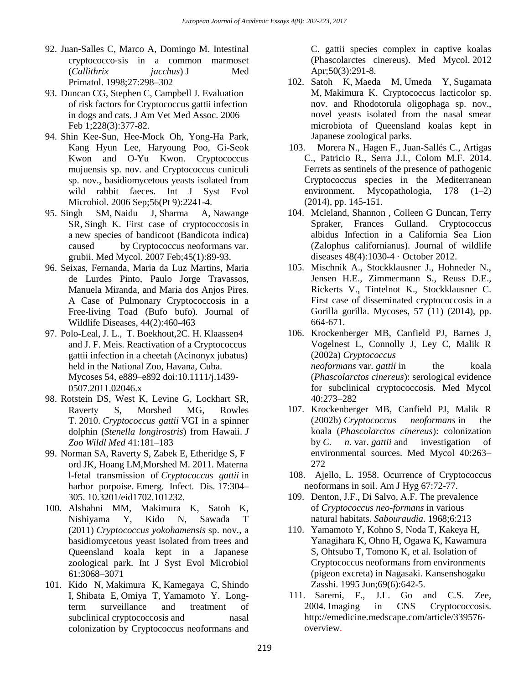- 92. Juan‐Salles C, Marco A, Domingo M. Intestinal cryptococco‐sis in a common marmoset (*Callithrix jacchus*) J Med Primatol. 1998;27:298–302
- 93. Duncan CG, Stephen C, Campbell J. Evaluation of risk factors for Cryptococcus gattii infection in dogs and cats. J Am Vet Med Assoc. 2006 Feb 1;228(3):377-82.
- 94. Shin Kee-Sun, Hee-Mock Oh, Yong-Ha Park, Kang Hyun Lee, Haryoung Poo, Gi-Seok Kwon and O-Yu Kwon. Cryptococcus mujuensis sp. nov. and Cryptococcus cuniculi sp. nov., basidiomycetous yeasts isolated from wild rabbit faeces. [Int J Syst Evol](https://www.ncbi.nlm.nih.gov/pubmed/16957128)  [Microbiol.](https://www.ncbi.nlm.nih.gov/pubmed/16957128) 2006 Sep;56(Pt 9):2241-4.
- 95. [Singh SM,](https://www.ncbi.nlm.nih.gov/pubmed/?term=Singh%20SM%5BAuthor%5D&cauthor=true&cauthor_uid=17325950) [Naidu J,](https://www.ncbi.nlm.nih.gov/pubmed/?term=Naidu%20J%5BAuthor%5D&cauthor=true&cauthor_uid=17325950) [Sharma A,](https://www.ncbi.nlm.nih.gov/pubmed/?term=Sharma%20A%5BAuthor%5D&cauthor=true&cauthor_uid=17325950) [Nawange](https://www.ncbi.nlm.nih.gov/pubmed/?term=Nawange%20SR%5BAuthor%5D&cauthor=true&cauthor_uid=17325950)  [SR,](https://www.ncbi.nlm.nih.gov/pubmed/?term=Nawange%20SR%5BAuthor%5D&cauthor=true&cauthor_uid=17325950) [Singh K.](https://www.ncbi.nlm.nih.gov/pubmed/?term=Singh%20K%5BAuthor%5D&cauthor=true&cauthor_uid=17325950) First case of cryptococcosis in a new species of bandicoot (Bandicota indica) caused by Cryptococcus neoformans var. grubii. [Med Mycol.](https://www.ncbi.nlm.nih.gov/pubmed/17325950) 2007 Feb;45(1):89-93.
- 96. Seixas, Fernanda, Maria da Luz Martins, Maria de Lurdes Pinto, Paulo Jorge Travassos, Manuela Miranda, and Maria dos Anjos Pires. A Case of Pulmonary Cryptococcosis in a Free-living Toad (Bufo bufo). Journal of Wildlife Diseases, 44(2):460-463
- 97. Polo-Leal, J. L., T. Boekhout,2C. H. Klaassen4 and J. F. Meis. Reactivation of a Cryptococcus gattii infection in a cheetah (Acinonyx jubatus) held in the National Zoo, Havana, Cuba. Mycoses 54, e889–e892 doi:10.1111/j.1439- 0507.2011.02046.x
- 98. Rotstein DS, West K, Levine G, Lockhart SR, Raverty S, Morshed MG, Rowles T. 2010. *Cryptococcus gattii* VGI in a spinner dolphin (*Stenella longirostris*) from Hawaii. *J Zoo Wildl Med* 41:181–183
- 99. Norman SA, Raverty S, Zabek E, Etheridge S, F ord JK, Hoang LM,Morshed M. 2011. Materna l-fetal transmission of *Cryptococcus gattii* in harbor porpoise. Emerg. Infect. Dis. 17:304– 305. 10.3201/eid1702.101232.
- 100. Alshahni MM, Makimura K, Satoh K, Nishiyama Y, Kido N, Sawada T (2011) *Cryptococcus yokohamensis* sp. nov., a basidiomycetous yeast isolated from trees and Queensland koala kept in a Japanese zoological park. Int J Syst Evol Microbiol 61:3068–3071
- 101. [Kido N,](https://www.ncbi.nlm.nih.gov/pubmed/?term=Kido%20N%5BAuthor%5D&cauthor=true&cauthor_uid=21859391) [Makimura K,](https://www.ncbi.nlm.nih.gov/pubmed/?term=Makimura%20K%5BAuthor%5D&cauthor=true&cauthor_uid=21859391) [Kamegaya C,](https://www.ncbi.nlm.nih.gov/pubmed/?term=Kamegaya%20C%5BAuthor%5D&cauthor=true&cauthor_uid=21859391) [Shindo](https://www.ncbi.nlm.nih.gov/pubmed/?term=Shindo%20I%5BAuthor%5D&cauthor=true&cauthor_uid=21859391)  [I,](https://www.ncbi.nlm.nih.gov/pubmed/?term=Shindo%20I%5BAuthor%5D&cauthor=true&cauthor_uid=21859391) [Shibata E,](https://www.ncbi.nlm.nih.gov/pubmed/?term=Shibata%20E%5BAuthor%5D&cauthor=true&cauthor_uid=21859391) [Omiya T,](https://www.ncbi.nlm.nih.gov/pubmed/?term=Omiya%20T%5BAuthor%5D&cauthor=true&cauthor_uid=21859391) [Yamamoto Y.](https://www.ncbi.nlm.nih.gov/pubmed/?term=Yamamoto%20Y%5BAuthor%5D&cauthor=true&cauthor_uid=21859391) Longterm surveillance and treatment of subclinical cryptococcosis and nasal colonization by Cryptococcus neoformans and

C. gattii species complex in captive koalas (Phascolarctes cinereus). [Med Mycol.](https://www.ncbi.nlm.nih.gov/pubmed/21859391) 2012 Apr;50(3):291-8.

- 102. [Satoh K,](https://www.ncbi.nlm.nih.gov/pubmed/?term=Satoh%20K%5BAuthor%5D&cauthor=true&cauthor_uid=23653119) [Maeda M,](https://www.ncbi.nlm.nih.gov/pubmed/?term=Maeda%20M%5BAuthor%5D&cauthor=true&cauthor_uid=23653119) [Umeda Y,](https://www.ncbi.nlm.nih.gov/pubmed/?term=Umeda%20Y%5BAuthor%5D&cauthor=true&cauthor_uid=23653119) [Sugamata](https://www.ncbi.nlm.nih.gov/pubmed/?term=Sugamata%20M%5BAuthor%5D&cauthor=true&cauthor_uid=23653119)  [M,](https://www.ncbi.nlm.nih.gov/pubmed/?term=Sugamata%20M%5BAuthor%5D&cauthor=true&cauthor_uid=23653119) [Makimura K.](https://www.ncbi.nlm.nih.gov/pubmed/?term=Makimura%20K%5BAuthor%5D&cauthor=true&cauthor_uid=23653119) Cryptococcus lacticolor sp. nov. and Rhodotorula oligophaga sp. nov., novel yeasts isolated from the nasal smear microbiota of Queensland koalas kept in Japanese zoological parks.
- 103. Morera N., Hagen F., Juan-Sallés C., Artigas C., Patricio R., Serra J.I., Colom M.F. 2014. Ferrets as sentinels of the presence of pathogenic Cryptococcus species in the Mediterranean environment. Mycopathologia, 178 (1–2) (2014), pp. 145-151.
- 104. Mcleland, [Shannon ,](https://www.researchgate.net/profile/Shannon_Mcleland) [Colleen G Duncan,](https://www.researchgate.net/profile/Colleen_Duncan) [Terry](https://www.researchgate.net/profile/Terry_Spraker2)  [Spraker,](https://www.researchgate.net/profile/Terry_Spraker2) [Frances Gulland.](https://www.researchgate.net/researcher/2054092401_Frances_Gulland) Cryptococcus albidus Infection in a California Sea Lion (Zalophus californianus). Journal of wildlife diseases 48(4):1030-4 · October 2012.
- 105. Mischnik A., Stockklausner J., Hohneder N., Jensen H.E., Zimmermann S., Reuss D.E., Rickerts V., Tintelnot K., Stockklausner C. First case of disseminated cryptococcosis in a Gorilla gorilla. Mycoses, 57 (11) (2014), pp. 664-671.
- 106. Krockenberger MB, Canfield PJ, Barnes J, Vogelnest L, Connolly J, Ley C, Malik R (2002a) *Cryptococcus neoformans* var. *gattii* in the koala (*Phascolarctos cinereus*): serological evidence for subclinical cryptococcosis. Med Mycol 40:273–282
- 107. Krockenberger MB, Canfield PJ, Malik R (2002b) *Cryptococcus neoformans* in the koala (*Phascolarctos cinereus*): colonization by *C. n.* var. *gattii* and investigation of environmental sources. Med Mycol 40:263– 272
- 108. Ajello, L. 1958. Ocurrence of Cryptococcus neoformans in soil. Am J Hyg 67:72-77.
- 109. Denton, J.F., Di Salvo, A.F. The prevalence of *Cryptococcus neo-formans* in various natural habitats. *Sabouraudia*. 1968;6:213
- 110. Yamamoto Y, Kohno S, Noda T, Kakeya H, Yanagihara K, Ohno H, Ogawa K, Kawamura S, Ohtsubo T, Tomono K, et al. Isolation of Cryptococcus neoformans from environments (pigeon excreta) in Nagasaki. Kansenshogaku Zasshi. 1995 Jun;69(6):642-5.
- 111. Saremi, F., J.L. Go and C.S. Zee, 2004. Imaging in CNS Cryptococcosis. [http://emedicine.medscape.com/article/339576](http://emedicine.medscape.com/article/339576-overview) [overview.](http://emedicine.medscape.com/article/339576-overview)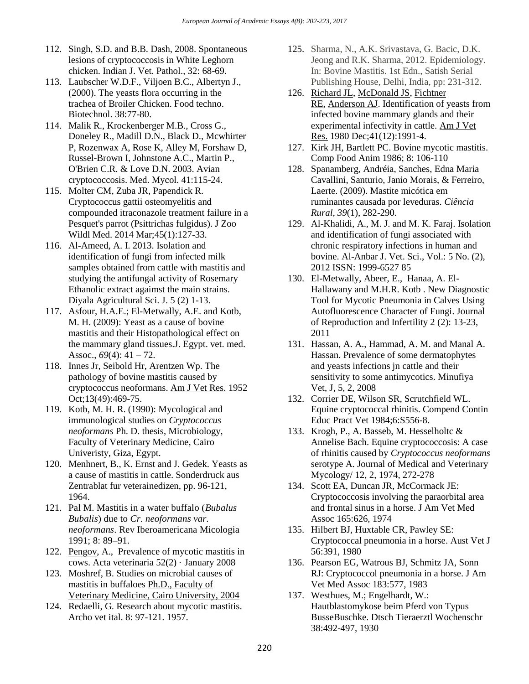- 112. Singh, S.D. and B.B. Dash, 2008. Spontaneous lesions of cryptococcosis in White Leghorn chicken. Indian J. Vet. Pathol., 32: 68-69.
- 113. Laubscher W.D.F., Viljoen B.C., Albertyn J., (2000). The yeasts flora occurring in the trachea of Broiler Chicken. Food techno. Biotechnol. 38:77-80.
- 114. Malik R., Krockenberger M.B., Cross G., Doneley R., Madill D.N., Black D., Mcwhirter P, Rozenwax A, Rose K, Alley M, Forshaw D, Russel-Brown I, Johnstone A.C., Martin P., O'Brien C.R. & Love D.N. 2003. Avian cryptococcosis. Med. Mycol. 41:115-24.
- 115. Molter CM, Zuba JR, Papendick R. Cryptococcus gattii osteomyelitis and compounded itraconazole treatment failure in a Pesquet's parrot (Psittrichas fulgidus). J Zoo Wildl Med. 2014 Mar;45(1):127-33.
- 116. Al-Ameed, A. I. 2013. Isolation and identification of fungi from infected milk samples obtained from cattle with mastitis and studying the antifungal activity of Rosemary Ethanolic extract agaimst the main strains. Diyala Agricultural Sci. J. 5 (2) 1-13.
- 117. Asfour, H.A.E.; El-Metwally, A.E. and Kotb, M. H. (2009): Yeast as a cause of bovine mastitis and their Histopathological effect on the mammary gland tissues.J. Egypt. vet. med. Assoc., *69*(4): 41 – 72.
- 118. [Innes Jr,](https://www.ncbi.nlm.nih.gov/pubmed/?term=INNES%20JR%5BAuthor%5D&cauthor=true&cauthor_uid=12996765) [Seibold Hr,](https://www.ncbi.nlm.nih.gov/pubmed/?term=SEIBOLD%20HR%5BAuthor%5D&cauthor=true&cauthor_uid=12996765) [Arentzen Wp.](https://www.ncbi.nlm.nih.gov/pubmed/?term=ARENTZEN%20WP%5BAuthor%5D&cauthor=true&cauthor_uid=12996765) The pathology of bovine mastitis caused by cryptococcus neoformans. [Am J Vet Res.](https://www.ncbi.nlm.nih.gov/pubmed/12996765) 1952 Oct;13(49):469-75.
- 119. Kotb, M. H. R. (1990): Mycological and immunological studies on *Cryptococcus neoformans* Ph. D. thesis, Microbiology, Faculty of Veterinary Medicine, Cairo Univeristy, Giza, Egypt.
- 120. Menhnert, B., K. Ernst and J. Gedek. Yeasts as a cause of mastitis in cattle. Sonderdruck aus Zentrablat fur veterainedizen, pp. 96-121, 1964.
- 121. Pal M. Mastitis in a water buffalo (*Bubalus Bubalis*) due to *Cr. neoformans var. neoformans*. Rev Iberoamericana Micologia 1991; 8: 89–91.
- 122. [Pengov,](https://www.researchgate.net/researcher/2038876401_A_Pengov) A., Prevalence of mycotic mastitis in cows. [Acta veterinaria](https://www.researchgate.net/journal/0567-8315_Acta_veterinaria) 52(2) · January 2008
- 123. Moshref, B. Studies on microbial causes of mastitis in buffaloes Ph.D., Faculty of Veterinary Medicine, Cairo University, 2004
- 124. Redaelli, G. Research about mycotic mastitis. Archo vet ital. 8: 97-121. 1957.
- 125. Sharma, N., A.K. Srivastava, G. Bacic, D.K. Jeong and R.K. Sharma, 2012. Epidemiology. In: Bovine Mastitis. 1st Edn., Satish Serial Publishing House, Delhi, India, pp: 231-312.
- 126. [Richard JL,](https://www.ncbi.nlm.nih.gov/pubmed/?term=Richard%20JL%5BAuthor%5D&cauthor=true&cauthor_uid=7011129) [McDonald JS,](https://www.ncbi.nlm.nih.gov/pubmed/?term=McDonald%20JS%5BAuthor%5D&cauthor=true&cauthor_uid=7011129) [Fichtner](https://www.ncbi.nlm.nih.gov/pubmed/?term=Fichtner%20RE%5BAuthor%5D&cauthor=true&cauthor_uid=7011129)  [RE,](https://www.ncbi.nlm.nih.gov/pubmed/?term=Fichtner%20RE%5BAuthor%5D&cauthor=true&cauthor_uid=7011129) [Anderson AJ.](https://www.ncbi.nlm.nih.gov/pubmed/?term=Anderson%20AJ%5BAuthor%5D&cauthor=true&cauthor_uid=7011129) Identification of yeasts from infected bovine mammary glands and their experimental infectivity in cattle. [Am J Vet](https://www.ncbi.nlm.nih.gov/pubmed/7011129)  [Res.](https://www.ncbi.nlm.nih.gov/pubmed/7011129) 1980 Dec;41(12):1991-4.
- 127. Kirk JH, Bartlett PC. Bovine mycotic mastitis. Comp Food Anim 1986; 8: 106-110
- 128. Spanamberg, Andréia, Sanches, Edna Maria Cavallini, Santurio, Janio Morais, & Ferreiro, Laerte. (2009). Mastite micótica em ruminantes causada por leveduras. *Ciência Rural*, *39*(1), 282-290.
- 129. Al-Khalidi, A., M. J. and M. K. Faraj. Isolation and identification of fungi associated with chronic respiratory infections in human and bovine. Al-Anbar J. Vet. Sci., Vol.: 5 No. (2), 2012 ISSN: 1999-6527 85
- 130. El-Metwally, Abeer, E., Hanaa, A. El-Hallawany and M.H.R. Kotb . New Diagnostic Tool for Mycotic Pneumonia in Calves Using Autofluorescence Character of Fungi. Journal of Reproduction and Infertility 2 (2): 13-23, 2011
- 131. Hassan, A. A., Hammad, A. M. and Manal A. Hassan. Prevalence of some dermatophytes and yeasts infections jn cattle and their sensitivity to some antimycotics. Minufiya Vet, J, 5, 2, 2008
- 132. Corrier DE, Wilson SR, Scrutchfield WL. Equine cryptococcal rhinitis. Compend Contin Educ Pract Vet 1984;6:S556-8.
- 133. Krogh, P., A. Basseb, M. Hesselholtc & Annelise Bach. Equine cryptococcosis: A case of rhinitis caused by *Cryptococcus neoformans*  serotype A. Journal of Medical and Veterinary Mycology/ 12, 2, 1974, 272-278
- 134. Scott EA, Duncan JR, McCormack JE: Cryptococcosis involving the paraorbital area and frontal sinus in a horse. J Am Vet Med Assoc 165:626, 1974
- 135. Hilbert BJ, Huxtable CR, Pawley SE: Cryptococcal pneumonia in a horse. Aust Vet J 56:391, 1980
- 136. Pearson EG, Watrous BJ, Schmitz JA, Sonn RJ: Cryptococcol pneumonia in a horse. J Am Vet Med Assoc 183:577, 1983
- 137. Westhues, M.; Engelhardt, W.: Hautblastomykose beim Pferd von Typus BusseBuschke. Dtsch Tieraerztl Wochenschr 38:492-497, 1930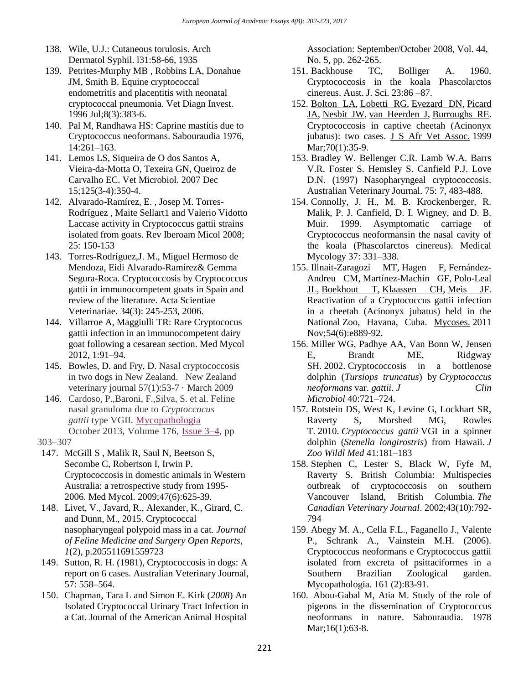- 138. Wile, U.J.: Cutaneous torulosis. Arch Derrnatol Syphil. l31:58-66, 1935
- 139. Petrites-Murphy MB , Robbins LA, Donahue JM, Smith B. Equine cryptococcal endometritis and placentitis with neonatal cryptococcal pneumonia. Vet Diagn Invest. 1996 Jul;8(3):383-6.
- 140. Pal M, Randhawa HS: Caprine mastitis due to Cryptococcus neoformans. Sabouraudia 1976, 14:261–163.
- 141. Lemos LS, Siqueira de O dos Santos A, Vieira-da-Motta O, Texeira GN, Queiroz de Carvalho EC. Vet Microbiol. 2007 Dec 15;125(3-4):350-4.
- 142. Alvarado-Ramírez, E. , Josep M. Torres-Rodríguez , Maite Sellart1 and Valerio Vidotto Laccase activity in Cryptococcus gattii strains isolated from goats. Rev Iberoam Micol 2008; 25: 150-153
- 143. Torres-Rodríguez,J. M., Miguel Hermoso de Mendoza, Eidi Alvarado-Ramírez& Gemma Segura-Roca. Cryptococcosis by Cryptococcus gattii in immunocompetent goats in Spain and review of the literature. Acta Scientiae Veterinariae. 34(3): 245-253, 2006.
- 144. Villarroe A, Maggiulli TR: Rare Cryptococus gattii infection in an immunocompetent dairy goat following a cesarean section. Med Mycol 2012, 1:91–94.
- 145. Bowles, D. and Fry, D. Nasal cryptococcosis in two dogs in New Zealand. New Zealand veterinary journal 57(1):53-7 · March 2009
- 146. Cardoso, P.,Baroni, F.,Silva, S. et al. Feline nasal granuloma due to *Cryptoccocus gattii* type VGII. [Mycopathologia](https://link.springer.com/journal/11046) October 2013, Volume 176, [Issue](https://link.springer.com/journal/11046/176/3/page/1) 3–4, pp
- 303–307
- 147. McGill S , Malik R, Saul N, Beetson S, Secombe C, Robertson I, Irwin P. Cryptococcosis in domestic animals in Western Australia: a retrospective study from 1995- 2006. Med Mycol. 2009;47(6):625-39.
- 148. Livet, V., Javard, R., Alexander, K., Girard, C. and Dunn, M., 2015. Cryptococcal nasopharyngeal polypoid mass in a cat. *Journal of Feline Medicine and Surgery Open Reports*, *1*(2), p.205511691559723
- 149. Sutton, R. H. (1981), Cryptococcosis in dogs: A report on 6 cases. Australian Veterinary Journal, 57: 558–564.
- 150. Chapman, Tara L and Simon E. Kirk (*2008*) An Isolated Cryptococcal Urinary Tract Infection in a Cat. Journal of the American Animal Hospital

Association: September/October 2008, Vol. 44, No. 5, pp. 262-265.

- 151. Backhouse TC, Bolliger A. 1960. Cryptococcosis in the koala Phascolarctos cinereus. Aust. J. Sci. 23:86 –87.
- 152. [Bolton LA,](https://www.ncbi.nlm.nih.gov/pubmed/?term=Bolton%20LA%5BAuthor%5D&cauthor=true&cauthor_uid=10855821) [Lobetti RG,](https://www.ncbi.nlm.nih.gov/pubmed/?term=Lobetti%20RG%5BAuthor%5D&cauthor=true&cauthor_uid=10855821) [Evezard DN,](https://www.ncbi.nlm.nih.gov/pubmed/?term=Evezard%20DN%5BAuthor%5D&cauthor=true&cauthor_uid=10855821) [Picard](https://www.ncbi.nlm.nih.gov/pubmed/?term=Picard%20JA%5BAuthor%5D&cauthor=true&cauthor_uid=10855821)  [JA,](https://www.ncbi.nlm.nih.gov/pubmed/?term=Picard%20JA%5BAuthor%5D&cauthor=true&cauthor_uid=10855821) [Nesbit JW,](https://www.ncbi.nlm.nih.gov/pubmed/?term=Nesbit%20JW%5BAuthor%5D&cauthor=true&cauthor_uid=10855821) [van Heerden J,](https://www.ncbi.nlm.nih.gov/pubmed/?term=van%20Heerden%20J%5BAuthor%5D&cauthor=true&cauthor_uid=10855821) [Burroughs RE.](https://www.ncbi.nlm.nih.gov/pubmed/?term=Burroughs%20RE%5BAuthor%5D&cauthor=true&cauthor_uid=10855821) Cryptococcosis in captive cheetah (Acinonyx jubatus): two cases. [J S Afr Vet Assoc.](https://www.ncbi.nlm.nih.gov/pubmed/10855821) 1999 Mar; 70(1): 35-9.
- 153. Bradley W. Bellenger C.R. Lamb W.A. Barrs V.R. Foster S. Hemsley S. Canfield P.J. Love D.N. (1997) Nasopharyngeal cryptococcosis. Australian Veterinary Journal. 75: 7, 483-488.
- 154. Connolly, J. H., M. B. Krockenberger, R. Malik, P. J. Canfield, D. I. Wigney, and D. B. Muir. 1999. Asymptomatic carriage of Cryptococcus neoformansin the nasal cavity of the koala (Phascolarctos cinereus). Medical Mycology 37: 331–338.
- 155. [Illnait-Zaragozí MT,](https://www.ncbi.nlm.nih.gov/pubmed/?term=Illnait-Zaragoz%C3%AD%20MT%5BAuthor%5D&cauthor=true&cauthor_uid=21668523) [Hagen F,](https://www.ncbi.nlm.nih.gov/pubmed/?term=Hagen%20F%5BAuthor%5D&cauthor=true&cauthor_uid=21668523) [Fernández-](https://www.ncbi.nlm.nih.gov/pubmed/?term=Fern%C3%A1ndez-Andreu%20CM%5BAuthor%5D&cauthor=true&cauthor_uid=21668523)[Andreu CM,](https://www.ncbi.nlm.nih.gov/pubmed/?term=Fern%C3%A1ndez-Andreu%20CM%5BAuthor%5D&cauthor=true&cauthor_uid=21668523) [Martínez-Machín GF,](https://www.ncbi.nlm.nih.gov/pubmed/?term=Mart%C3%ADnez-Mach%C3%ADn%20GF%5BAuthor%5D&cauthor=true&cauthor_uid=21668523) [Polo-Leal](https://www.ncbi.nlm.nih.gov/pubmed/?term=Polo-Leal%20JL%5BAuthor%5D&cauthor=true&cauthor_uid=21668523)  [JL,](https://www.ncbi.nlm.nih.gov/pubmed/?term=Polo-Leal%20JL%5BAuthor%5D&cauthor=true&cauthor_uid=21668523) [Boekhout T,](https://www.ncbi.nlm.nih.gov/pubmed/?term=Boekhout%20T%5BAuthor%5D&cauthor=true&cauthor_uid=21668523) [Klaassen CH,](https://www.ncbi.nlm.nih.gov/pubmed/?term=Klaassen%20CH%5BAuthor%5D&cauthor=true&cauthor_uid=21668523) [Meis JF.](https://www.ncbi.nlm.nih.gov/pubmed/?term=Meis%20JF%5BAuthor%5D&cauthor=true&cauthor_uid=21668523) Reactivation of a Cryptococcus gattii infection in a cheetah (Acinonyx jubatus) held in the National Zoo, Havana, Cuba. [Mycoses.](https://www.ncbi.nlm.nih.gov/pubmed/21668523) 2011 Nov;54(6):e889-92.
- 156. Miller WG, Padhye AA, Van Bonn W, Jensen E, Brandt ME, Ridgway SH. 2002. Cryptococcosis in a bottlenose dolphin (*Tursiops truncatus*) by *Cryptococcus neoformans* var. *gattii*. *J Clin Microbiol* 40:721–724.
- 157. Rotstein DS, West K, Levine G, Lockhart SR, Raverty S, Morshed MG, Rowles T. 2010. *Cryptococcus gattii* VGI in a spinner dolphin (*Stenella longirostris*) from Hawaii. *J Zoo Wildl Med* 41:181–183
- 158. Stephen C, Lester S, Black W, Fyfe M, Raverty S. British Columbia: Multispecies outbreak of cryptococcosis on southern Vancouver Island, British Columbia. *The Canadian Veterinary Journal*. 2002;43(10):792- 794
- 159. Abegy M. A., Cella F.L., Faganello J., Valente P., Schrank A., Vainstein M.H. (2006). Cryptococcus neoformans e Cryptococcus gattii isolated from excreta of psittaciformes in a Southern Brazilian Zoological garden. Mycopathologia. 161 (2):83-91.
- 160. Abou-Gabal M, Atia M. Study of the role of pigeons in the dissemination of Cryptococcus neoformans in nature. Sabouraudia. 1978 Mar;16(1):63-8.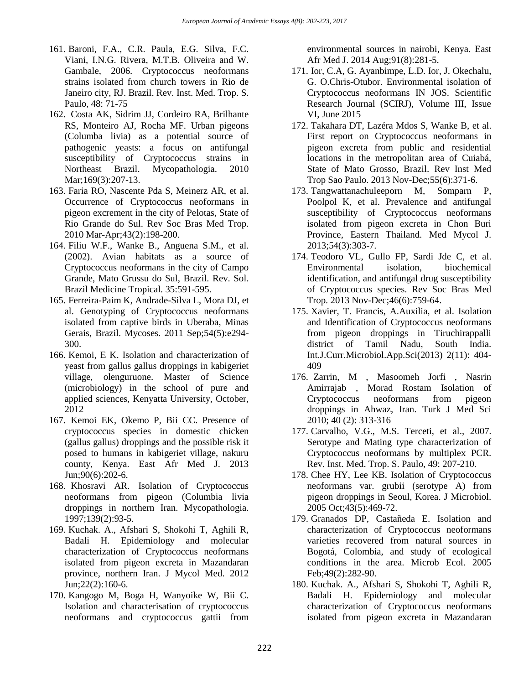- 161. Baroni, F.A., C.R. Paula, E.G. Silva, F.C. Viani, I.N.G. Rivera, M.T.B. Oliveira and W. Gambale, 2006. Cryptococcus neoformans strains isolated from church towers in Rio de Janeiro city, RJ. Brazil. Rev. Inst. Med. Trop. S. Paulo, 48: 71-75
- 162. Costa AK, Sidrim JJ, Cordeiro RA, Brilhante RS, Monteiro AJ, Rocha MF. Urban pigeons (Columba livia) as a potential source of pathogenic yeasts: a focus on antifungal susceptibility of Cryptococcus strains in Northeast Brazil. Mycopathologia. 2010 Mar;169(3):207-13.
- 163. Faria RO, Nascente Pda S, Meinerz AR, et al. Occurrence of Cryptococcus neoformans in pigeon excrement in the city of Pelotas, State of Rio Grande do Sul. Rev Soc Bras Med Trop. 2010 Mar-Apr;43(2):198-200.
- 164. Filiu W.F., Wanke B., Anguena S.M., et al. (2002). Avian habitats as a source of Cryptococcus neoformans in the city of Campo Grande, Mato Grussu do Sul, Brazil. Rev. Sol. Brazil Medicine Tropical. 35:591-595.
- 165. Ferreira-Paim K, Andrade-Silva L, Mora DJ, et al. Genotyping of Cryptococcus neoformans isolated from captive birds in Uberaba, Minas Gerais, Brazil. Mycoses. 2011 Sep;54(5):e294- 300.
- 166. Kemoi, E K. Isolation and characterization of yeast from gallus gallus droppings in kabigeriet village, olenguruone. Master of Science (microbiology) in the school of pure and applied sciences, Kenyatta University, October, 2012
- 167. Kemoi EK, Okemo P, Bii CC. Presence of cryptococcus species in domestic chicken (gallus gallus) droppings and the possible risk it posed to humans in kabigeriet village, nakuru county, Kenya. East Afr Med J. 2013 Jun;90(6):202-6.
- 168. Khosravi AR. Isolation of Cryptococcus neoformans from pigeon (Columbia livia droppings in northern Iran. Mycopathologia. 1997;139(2):93-5.
- 169. Kuchak. A., Afshari S, Shokohi T, Aghili R, Badali H. Epidemiology and molecular characterization of Cryptococcus neoformans isolated from pigeon excreta in Mazandaran province, northern Iran. J Mycol Med. 2012 Jun;22(2):160-6.
- 170. Kangogo M, Boga H, Wanyoike W, Bii C. Isolation and characterisation of cryptococcus neoformans and cryptococcus gattii from

environmental sources in nairobi, Kenya. East Afr Med J. 2014 Aug;91(8):281-5.

- 171. Ior, C.A, G. Ayanbimpe, L.D. Ior, J. Okechalu, G. O.Chris-Otubor. Environmental isolation of Cryptococcus neoformans IN JOS. Scientific Research Journal (SCIRJ), Volume III, Issue VI, June 2015
- 172. Takahara DT, Lazéra Mdos S, Wanke B, et al. First report on Cryptococcus neoformans in pigeon excreta from public and residential locations in the metropolitan area of Cuiabá, State of Mato Grosso, Brazil. Rev Inst Med Trop Sao Paulo. 2013 Nov-Dec;55(6):371-6.
- 173. Tangwattanachuleeporn M, Somparn P, Poolpol K, et al. Prevalence and antifungal susceptibility of Cryptococcus neoformans isolated from pigeon excreta in Chon Buri Province, Eastern Thailand. Med Mycol J. 2013;54(3):303-7.
- 174. Teodoro VL, Gullo FP, Sardi Jde C, et al. Environmental isolation, biochemical identification, and antifungal drug susceptibility of Cryptococcus species. Rev Soc Bras Med Trop. 2013 Nov-Dec;46(6):759-64.
- 175. Xavier, T. Francis, A.Auxilia, et al. Isolation and Identification of Cryptococcus neoformans from pigeon droppings in Tiruchirappalli district of Tamil Nadu, South India. Int.J.Curr.Microbiol.App.Sci(2013) 2(11): 404- 409
- 176. Zarrin, M , Masoomeh Jorfi , Nasrin Amirrajab , Morad Rostam Isolation of Cryptococcus neoformans from pigeon droppings in Ahwaz, Iran. Turk J Med Sci 2010; 40 (2): 313-316
- 177. Carvalho, V.G., M.S. Terceti, et al., 2007. Serotype and Mating type characterization of Cryptococcus neoformans by multiplex PCR. Rev. Inst. Med. Trop. S. Paulo, 49: 207-210.
- 178. Chee HY, Lee KB. Isolation of Cryptococcus neoformans var. grubii (serotype A) from pigeon droppings in Seoul, Korea. J Microbiol. 2005 Oct;43(5):469-72.
- 179. Granados DP, Castañeda E. Isolation and characterization of Cryptococcus neoformans varieties recovered from natural sources in Bogotá, Colombia, and study of ecological conditions in the area. Microb Ecol. 2005 Feb;49(2):282-90.
- 180. Kuchak. A., Afshari S, Shokohi T, Aghili R, Badali H. Epidemiology and molecular characterization of Cryptococcus neoformans isolated from pigeon excreta in Mazandaran